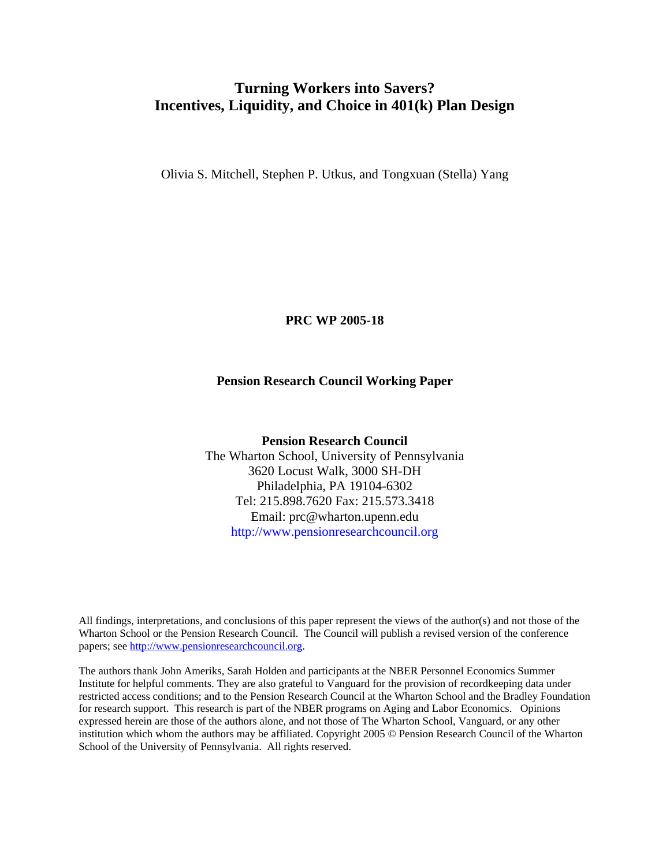# **Turning Workers into Savers? Incentives, Liquidity, and Choice in 401(k) Plan Design**

Olivia S. Mitchell, Stephen P. Utkus, and Tongxuan (Stella) Yang

**PRC WP 2005-18** 

#### **Pension Research Council Working Paper**

**Pension Research Council**  The Wharton School, University of Pennsylvania 3620 Locust Walk, 3000 SH-DH Philadelphia, PA 19104-6302 Tel: 215.898.7620 Fax: 215.573.3418 Email: prc@wharton.upenn.edu http://www.pensionresearchcouncil.org

All findings, interpretations, and conclusions of this paper represent the views of the author(s) and not those of the Wharton School or the Pension Research Council. The Council will publish a revised version of the conference papers; see http://www.pensionresearchcouncil.org.

The authors thank John Ameriks, Sarah Holden and participants at the NBER Personnel Economics Summer Institute for helpful comments. They are also grateful to Vanguard for the provision of recordkeeping data under restricted access conditions; and to the Pension Research Council at the Wharton School and the Bradley Foundation for research support. This research is part of the NBER programs on Aging and Labor Economics. Opinions expressed herein are those of the authors alone, and not those of The Wharton School, Vanguard, or any other institution which whom the authors may be affiliated. Copyright 2005 © Pension Research Council of the Wharton School of the University of Pennsylvania. All rights reserved.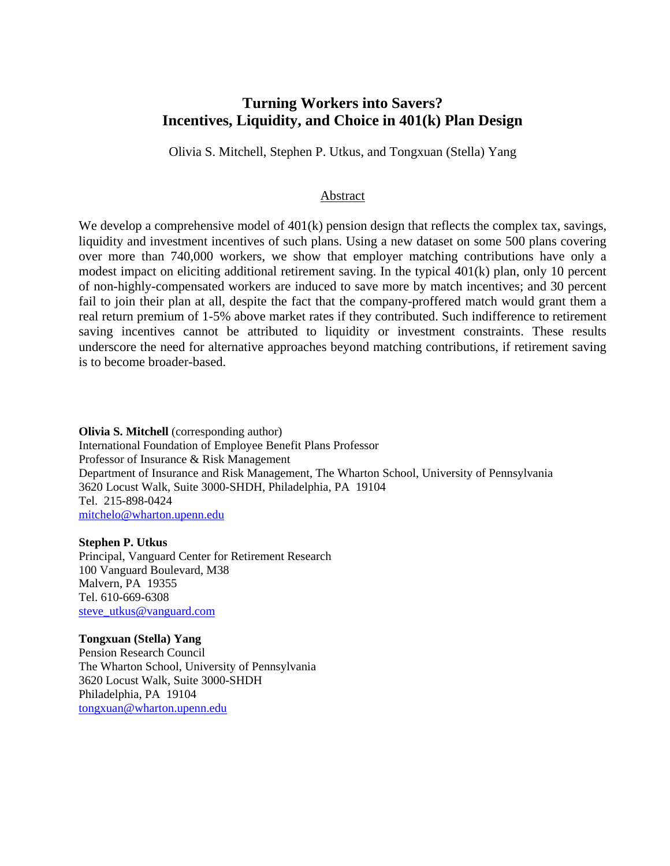## **Turning Workers into Savers? Incentives, Liquidity, and Choice in 401(k) Plan Design**

Olivia S. Mitchell, Stephen P. Utkus, and Tongxuan (Stella) Yang

#### Abstract

We develop a comprehensive model of  $401(k)$  pension design that reflects the complex tax, savings, liquidity and investment incentives of such plans. Using a new dataset on some 500 plans covering over more than 740,000 workers, we show that employer matching contributions have only a modest impact on eliciting additional retirement saving. In the typical 401(k) plan, only 10 percent of non-highly-compensated workers are induced to save more by match incentives; and 30 percent fail to join their plan at all, despite the fact that the company-proffered match would grant them a real return premium of 1-5% above market rates if they contributed. Such indifference to retirement saving incentives cannot be attributed to liquidity or investment constraints. These results underscore the need for alternative approaches beyond matching contributions, if retirement saving is to become broader-based.

**Olivia S. Mitchell** (corresponding author) International Foundation of Employee Benefit Plans Professor Professor of Insurance & Risk Management Department of Insurance and Risk Management, The Wharton School, University of Pennsylvania 3620 Locust Walk, Suite 3000-SHDH, Philadelphia, PA 19104 Tel. 215-898-0424 mitchelo@wharton.upenn.edu

**Stephen P. Utkus**  Principal, Vanguard Center for Retirement Research 100 Vanguard Boulevard, M38 Malvern, PA 19355 Tel. 610-669-6308

steve\_utkus@vanguard.com

**Tongxuan (Stella) Yang** 

Pension Research Council The Wharton School, University of Pennsylvania 3620 Locust Walk, Suite 3000-SHDH Philadelphia, PA 19104 tongxuan@wharton.upenn.edu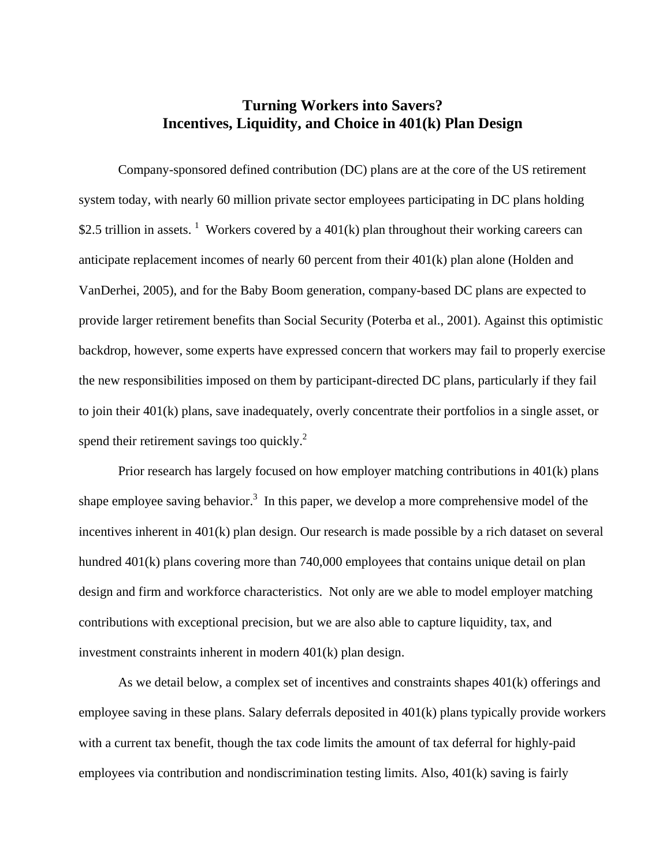# **Turning Workers into Savers? Incentives, Liquidity, and Choice in 401(k) Plan Design**

Company-sponsored defined contribution (DC) plans are at the core of the US retirement system today, with nearly 60 million private sector employees participating in DC plans holding \$2.5 trillion in assets. <sup>1</sup> Workers covered by a 401(k) plan throughout their working careers can anticipate replacement incomes of nearly 60 percent from their 401(k) plan alone (Holden and VanDerhei, 2005), and for the Baby Boom generation, company-based DC plans are expected to provide larger retirement benefits than Social Security (Poterba et al., 2001). Against this optimistic backdrop, however, some experts have expressed concern that workers may fail to properly exercise the new responsibilities imposed on them by participant-directed DC plans, particularly if they fail to join their 401(k) plans, save inadequately, overly concentrate their portfolios in a single asset, or spend their retirement savings too quickly. $^{2}$ 

Prior research has largely focused on how employer matching contributions in 401(k) plans shape employee saving behavior.<sup>3</sup> In this paper, we develop a more comprehensive model of the incentives inherent in 401(k) plan design. Our research is made possible by a rich dataset on several hundred 401(k) plans covering more than 740,000 employees that contains unique detail on plan design and firm and workforce characteristics. Not only are we able to model employer matching contributions with exceptional precision, but we are also able to capture liquidity, tax, and investment constraints inherent in modern 401(k) plan design.

As we detail below, a complex set of incentives and constraints shapes 401(k) offerings and employee saving in these plans. Salary deferrals deposited in 401(k) plans typically provide workers with a current tax benefit, though the tax code limits the amount of tax deferral for highly-paid employees via contribution and nondiscrimination testing limits. Also, 401(k) saving is fairly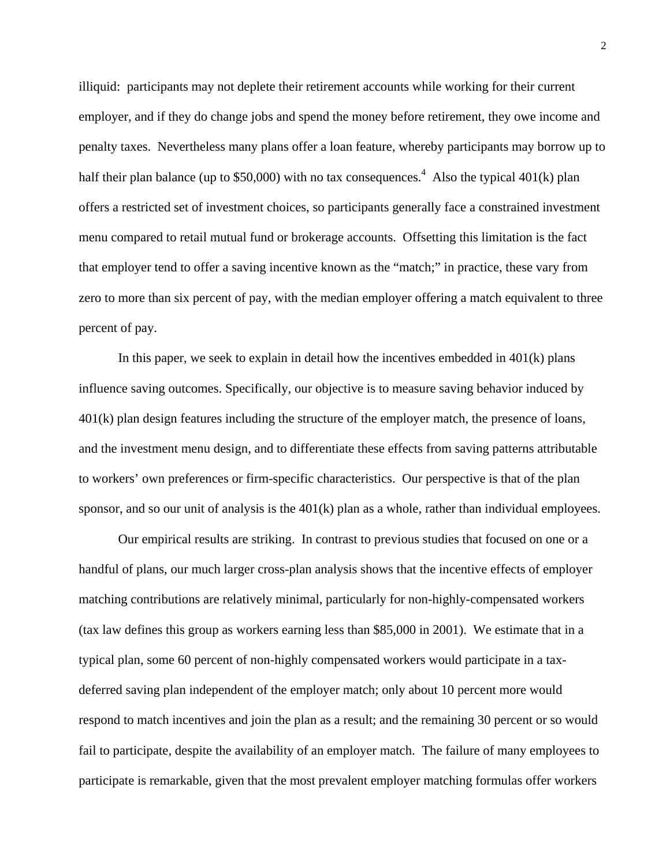illiquid: participants may not deplete their retirement accounts while working for their current employer, and if they do change jobs and spend the money before retirement, they owe income and penalty taxes. Nevertheless many plans offer a loan feature, whereby participants may borrow up to half their plan balance (up to \$50,000) with no tax consequences.<sup>4</sup> Also the typical 401(k) plan offers a restricted set of investment choices, so participants generally face a constrained investment menu compared to retail mutual fund or brokerage accounts. Offsetting this limitation is the fact that employer tend to offer a saving incentive known as the "match;" in practice, these vary from zero to more than six percent of pay, with the median employer offering a match equivalent to three percent of pay.

In this paper, we seek to explain in detail how the incentives embedded in  $401(k)$  plans influence saving outcomes. Specifically, our objective is to measure saving behavior induced by 401(k) plan design features including the structure of the employer match, the presence of loans, and the investment menu design, and to differentiate these effects from saving patterns attributable to workers' own preferences or firm-specific characteristics. Our perspective is that of the plan sponsor, and so our unit of analysis is the 401(k) plan as a whole, rather than individual employees.

Our empirical results are striking. In contrast to previous studies that focused on one or a handful of plans, our much larger cross-plan analysis shows that the incentive effects of employer matching contributions are relatively minimal, particularly for non-highly-compensated workers (tax law defines this group as workers earning less than \$85,000 in 2001). We estimate that in a typical plan, some 60 percent of non-highly compensated workers would participate in a taxdeferred saving plan independent of the employer match; only about 10 percent more would respond to match incentives and join the plan as a result; and the remaining 30 percent or so would fail to participate, despite the availability of an employer match. The failure of many employees to participate is remarkable, given that the most prevalent employer matching formulas offer workers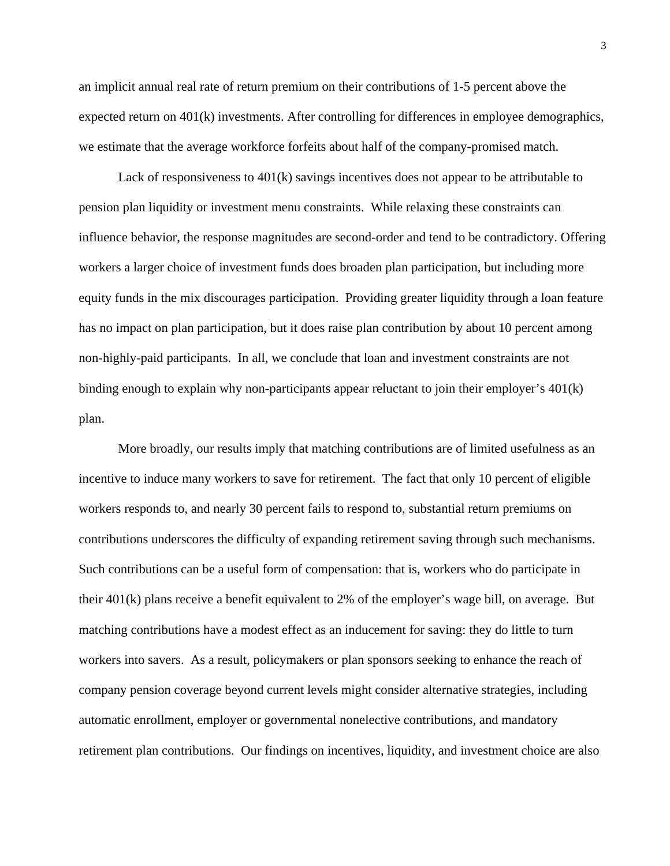an implicit annual real rate of return premium on their contributions of 1-5 percent above the expected return on 401(k) investments. After controlling for differences in employee demographics, we estimate that the average workforce forfeits about half of the company-promised match.

Lack of responsiveness to 401(k) savings incentives does not appear to be attributable to pension plan liquidity or investment menu constraints. While relaxing these constraints can influence behavior, the response magnitudes are second-order and tend to be contradictory. Offering workers a larger choice of investment funds does broaden plan participation, but including more equity funds in the mix discourages participation. Providing greater liquidity through a loan feature has no impact on plan participation, but it does raise plan contribution by about 10 percent among non-highly-paid participants. In all, we conclude that loan and investment constraints are not binding enough to explain why non-participants appear reluctant to join their employer's 401(k) plan.

More broadly, our results imply that matching contributions are of limited usefulness as an incentive to induce many workers to save for retirement. The fact that only 10 percent of eligible workers responds to, and nearly 30 percent fails to respond to, substantial return premiums on contributions underscores the difficulty of expanding retirement saving through such mechanisms. Such contributions can be a useful form of compensation: that is, workers who do participate in their 401(k) plans receive a benefit equivalent to 2% of the employer's wage bill, on average. But matching contributions have a modest effect as an inducement for saving: they do little to turn workers into savers. As a result, policymakers or plan sponsors seeking to enhance the reach of company pension coverage beyond current levels might consider alternative strategies, including automatic enrollment, employer or governmental nonelective contributions, and mandatory retirement plan contributions. Our findings on incentives, liquidity, and investment choice are also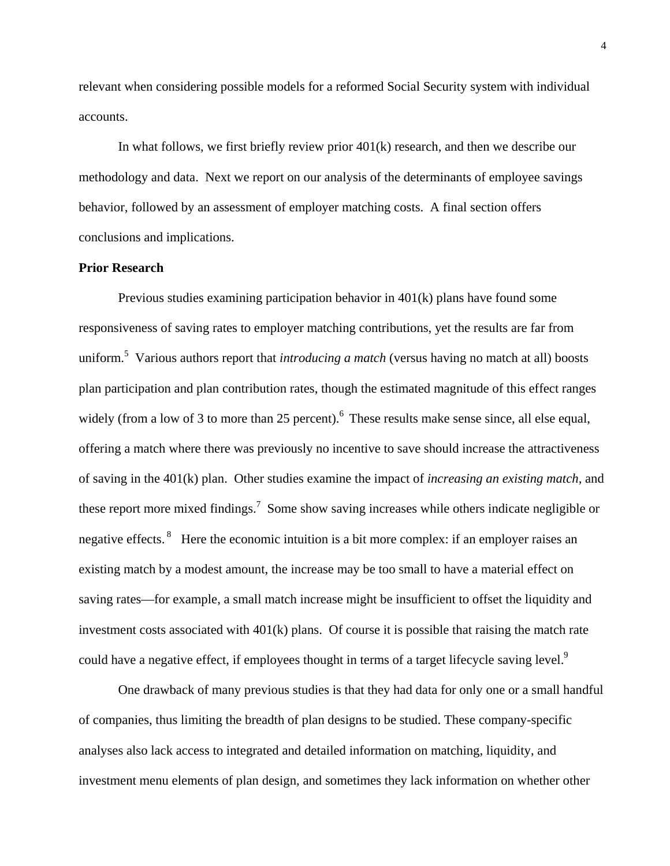relevant when considering possible models for a reformed Social Security system with individual accounts.

In what follows, we first briefly review prior 401(k) research, and then we describe our methodology and data. Next we report on our analysis of the determinants of employee savings behavior, followed by an assessment of employer matching costs. A final section offers conclusions and implications.

## **Prior Research**

Previous studies examining participation behavior in 401(k) plans have found some responsiveness of saving rates to employer matching contributions, yet the results are far from uniform.<sup>5</sup> Various authors report that *introducing a match* (versus having no match at all) boosts plan participation and plan contribution rates, though the estimated magnitude of this effect ranges widely (from a low of 3 to more than 25 percent).<sup>6</sup> These results make sense since, all else equal, offering a match where there was previously no incentive to save should increase the attractiveness of saving in the 401(k) plan. Other studies examine the impact of *increasing an existing match,* and these report more mixed findings.<sup>7</sup> Some show saving increases while others indicate negligible or negative effects.<sup>8</sup> Here the economic intuition is a bit more complex: if an employer raises an existing match by a modest amount, the increase may be too small to have a material effect on saving rates—for example, a small match increase might be insufficient to offset the liquidity and investment costs associated with  $401(k)$  plans. Of course it is possible that raising the match rate could have a negative effect, if employees thought in terms of a target lifecycle saving level.<sup>9</sup>

One drawback of many previous studies is that they had data for only one or a small handful of companies, thus limiting the breadth of plan designs to be studied. These company-specific analyses also lack access to integrated and detailed information on matching, liquidity, and investment menu elements of plan design, and sometimes they lack information on whether other

4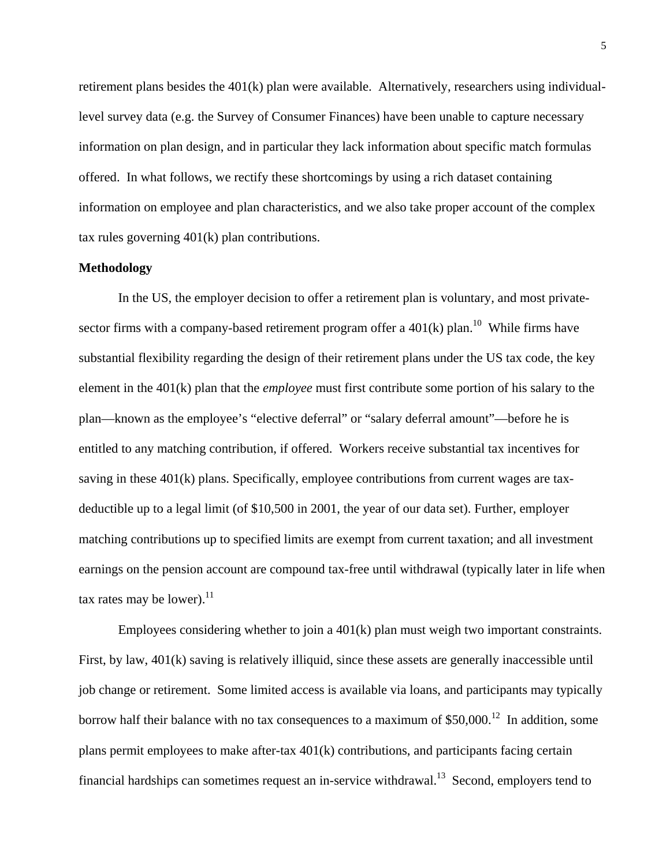retirement plans besides the 401(k) plan were available. Alternatively, researchers using individuallevel survey data (e.g. the Survey of Consumer Finances) have been unable to capture necessary information on plan design, and in particular they lack information about specific match formulas offered. In what follows, we rectify these shortcomings by using a rich dataset containing information on employee and plan characteristics, and we also take proper account of the complex tax rules governing 401(k) plan contributions.

#### **Methodology**

In the US, the employer decision to offer a retirement plan is voluntary, and most privatesector firms with a company-based retirement program offer a  $401(k)$  plan.<sup>10</sup> While firms have substantial flexibility regarding the design of their retirement plans under the US tax code, the key element in the 401(k) plan that the *employee* must first contribute some portion of his salary to the plan—known as the employee's "elective deferral" or "salary deferral amount"—before he is entitled to any matching contribution, if offered. Workers receive substantial tax incentives for saving in these 401(k) plans. Specifically, employee contributions from current wages are taxdeductible up to a legal limit (of \$10,500 in 2001, the year of our data set). Further, employer matching contributions up to specified limits are exempt from current taxation; and all investment earnings on the pension account are compound tax-free until withdrawal (typically later in life when tax rates may be lower). $^{11}$ 

Employees considering whether to join a 401(k) plan must weigh two important constraints. First, by law, 401(k) saving is relatively illiquid, since these assets are generally inaccessible until job change or retirement. Some limited access is available via loans, and participants may typically borrow half their balance with no tax consequences to a maximum of  $$50,000$ <sup>12</sup> In addition, some plans permit employees to make after-tax 401(k) contributions, and participants facing certain financial hardships can sometimes request an in-service withdrawal.<sup>13</sup> Second, employers tend to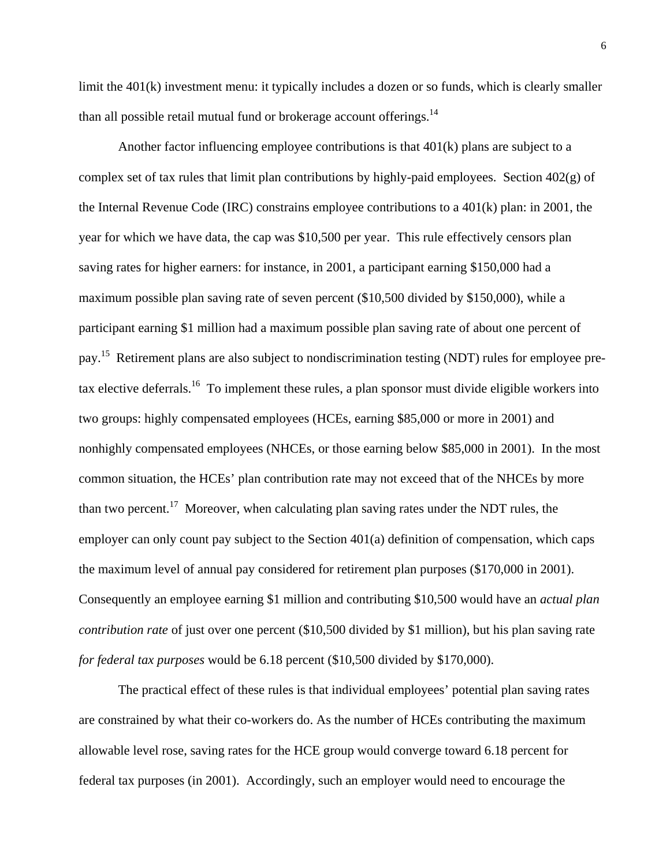limit the 401(k) investment menu: it typically includes a dozen or so funds, which is clearly smaller than all possible retail mutual fund or brokerage account offerings.<sup>14</sup>

Another factor influencing employee contributions is that 401(k) plans are subject to a complex set of tax rules that limit plan contributions by highly-paid employees. Section 402(g) of the Internal Revenue Code (IRC) constrains employee contributions to a 401(k) plan: in 2001, the year for which we have data, the cap was \$10,500 per year. This rule effectively censors plan saving rates for higher earners: for instance, in 2001, a participant earning \$150,000 had a maximum possible plan saving rate of seven percent (\$10,500 divided by \$150,000), while a participant earning \$1 million had a maximum possible plan saving rate of about one percent of pay.<sup>15</sup> Retirement plans are also subject to nondiscrimination testing (NDT) rules for employee pretax elective deferrals.<sup>16</sup> To implement these rules, a plan sponsor must divide eligible workers into two groups: highly compensated employees (HCEs, earning \$85,000 or more in 2001) and nonhighly compensated employees (NHCEs, or those earning below \$85,000 in 2001). In the most common situation, the HCEs' plan contribution rate may not exceed that of the NHCEs by more than two percent.<sup>17</sup> Moreover, when calculating plan saving rates under the NDT rules, the employer can only count pay subject to the Section 401(a) definition of compensation, which caps the maximum level of annual pay considered for retirement plan purposes (\$170,000 in 2001). Consequently an employee earning \$1 million and contributing \$10,500 would have an *actual plan contribution rate* of just over one percent (\$10,500 divided by \$1 million), but his plan saving rate *for federal tax purposes* would be 6.18 percent (\$10,500 divided by \$170,000).

The practical effect of these rules is that individual employees' potential plan saving rates are constrained by what their co-workers do. As the number of HCEs contributing the maximum allowable level rose, saving rates for the HCE group would converge toward 6.18 percent for federal tax purposes (in 2001). Accordingly, such an employer would need to encourage the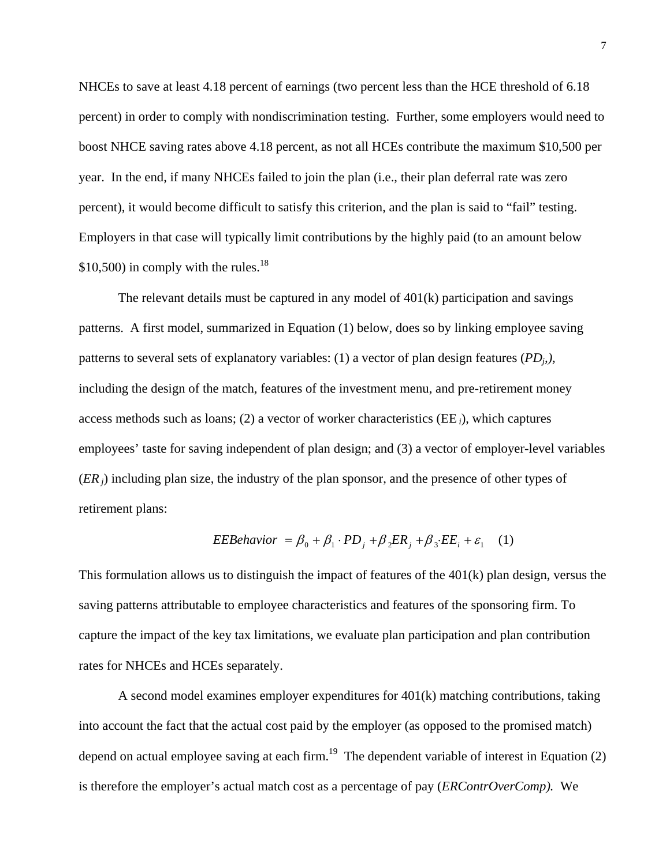NHCEs to save at least 4.18 percent of earnings (two percent less than the HCE threshold of 6.18 percent) in order to comply with nondiscrimination testing. Further, some employers would need to boost NHCE saving rates above 4.18 percent, as not all HCEs contribute the maximum \$10,500 per year. In the end, if many NHCEs failed to join the plan (i.e., their plan deferral rate was zero percent), it would become difficult to satisfy this criterion, and the plan is said to "fail" testing. Employers in that case will typically limit contributions by the highly paid (to an amount below \$10,500) in comply with the rules. $^{18}$ 

The relevant details must be captured in any model of 401(k) participation and savings patterns. A first model, summarized in Equation (1) below, does so by linking employee saving patterns to several sets of explanatory variables: (1) a vector of plan design features  $(PD_i)$ , including the design of the match, features of the investment menu, and pre-retirement money access methods such as loans; (2) a vector of worker characteristics (EE *i*), which captures employees' taste for saving independent of plan design; and (3) a vector of employer-level variables (*ER j*) including plan size, the industry of the plan sponsor, and the presence of other types of retirement plans:

$$
EEBehavior = \beta_0 + \beta_1 \cdot PD_j + \beta_2 ER_j + \beta_3 \cdot EE_i + \varepsilon_1 \quad (1)
$$

This formulation allows us to distinguish the impact of features of the 401(k) plan design, versus the saving patterns attributable to employee characteristics and features of the sponsoring firm. To capture the impact of the key tax limitations, we evaluate plan participation and plan contribution rates for NHCEs and HCEs separately.

A second model examines employer expenditures for 401(k) matching contributions, taking into account the fact that the actual cost paid by the employer (as opposed to the promised match) depend on actual employee saving at each firm.<sup>19</sup> The dependent variable of interest in Equation (2) is therefore the employer's actual match cost as a percentage of pay (*ERContrOverComp).* We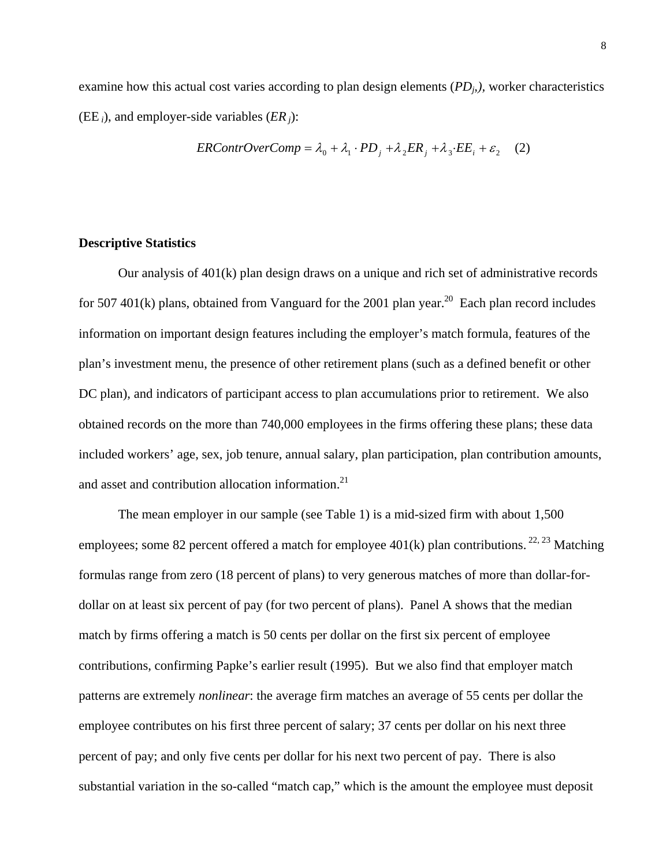examine how this actual cost varies according to plan design elements (*PD<sub>i</sub>*,), worker characteristics (EE *i*), and employer-side variables (*ER j*):

$$
ERContrOverComp = \lambda_0 + \lambda_1 \cdot PD_j + \lambda_2 ER_j + \lambda_3 \cdot EE_i + \varepsilon_2 \quad (2)
$$

#### **Descriptive Statistics**

Our analysis of  $401(k)$  plan design draws on a unique and rich set of administrative records for 507 401(k) plans, obtained from Vanguard for the 2001 plan year.<sup>20</sup> Each plan record includes information on important design features including the employer's match formula, features of the plan's investment menu, the presence of other retirement plans (such as a defined benefit or other DC plan), and indicators of participant access to plan accumulations prior to retirement. We also obtained records on the more than 740,000 employees in the firms offering these plans; these data included workers' age, sex, job tenure, annual salary, plan participation, plan contribution amounts, and asset and contribution allocation information.<sup>21</sup>

The mean employer in our sample (see Table 1) is a mid-sized firm with about 1,500 employees; some 82 percent offered a match for employee 401(k) plan contributions. <sup>22, 23</sup> Matching formulas range from zero (18 percent of plans) to very generous matches of more than dollar-fordollar on at least six percent of pay (for two percent of plans). Panel A shows that the median match by firms offering a match is 50 cents per dollar on the first six percent of employee contributions, confirming Papke's earlier result (1995). But we also find that employer match patterns are extremely *nonlinear*: the average firm matches an average of 55 cents per dollar the employee contributes on his first three percent of salary; 37 cents per dollar on his next three percent of pay; and only five cents per dollar for his next two percent of pay. There is also substantial variation in the so-called "match cap," which is the amount the employee must deposit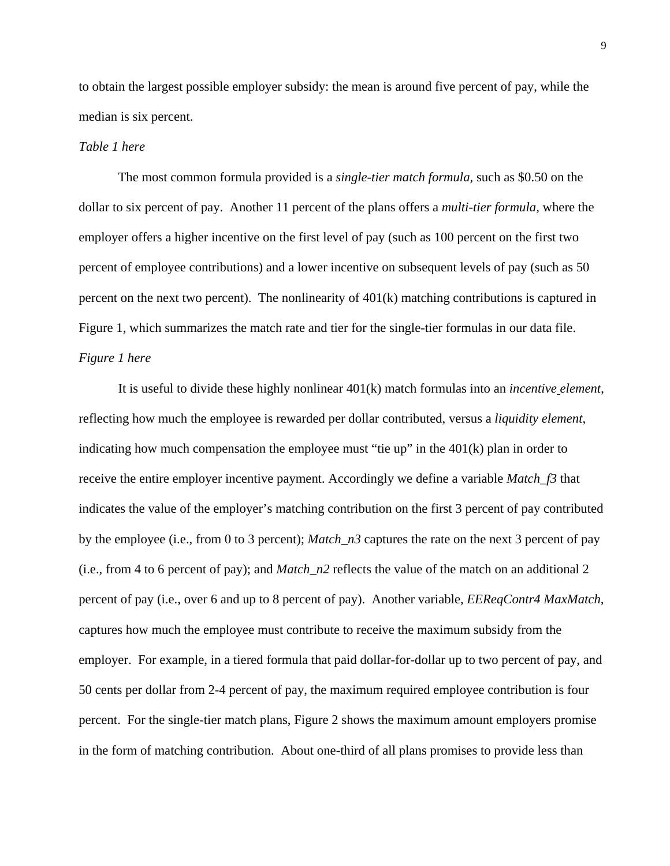to obtain the largest possible employer subsidy: the mean is around five percent of pay, while the median is six percent.

## *Table 1 here*

The most common formula provided is a *single-tier match formula,* such as \$0.50 on the dollar to six percent of pay. Another 11 percent of the plans offers a *multi-tier formula,* where the employer offers a higher incentive on the first level of pay (such as 100 percent on the first two percent of employee contributions) and a lower incentive on subsequent levels of pay (such as 50 percent on the next two percent). The nonlinearity of 401(k) matching contributions is captured in Figure 1, which summarizes the match rate and tier for the single-tier formulas in our data file. *Figure 1 here* 

It is useful to divide these highly nonlinear 401(k) match formulas into an *incentive element*, reflecting how much the employee is rewarded per dollar contributed, versus a *liquidity element*, indicating how much compensation the employee must "tie up" in the 401(k) plan in order to receive the entire employer incentive payment. Accordingly we define a variable *Match\_f3* that indicates the value of the employer's matching contribution on the first 3 percent of pay contributed by the employee (i.e., from 0 to 3 percent); *Match\_n3* captures the rate on the next 3 percent of pay (i.e., from 4 to 6 percent of pay); and *Match\_n2* reflects the value of the match on an additional 2 percent of pay (i.e., over 6 and up to 8 percent of pay). Another variable, *EEReqContr4 MaxMatch,* captures how much the employee must contribute to receive the maximum subsidy from the employer. For example, in a tiered formula that paid dollar-for-dollar up to two percent of pay, and 50 cents per dollar from 2-4 percent of pay, the maximum required employee contribution is four percent. For the single-tier match plans, Figure 2 shows the maximum amount employers promise in the form of matching contribution. About one-third of all plans promises to provide less than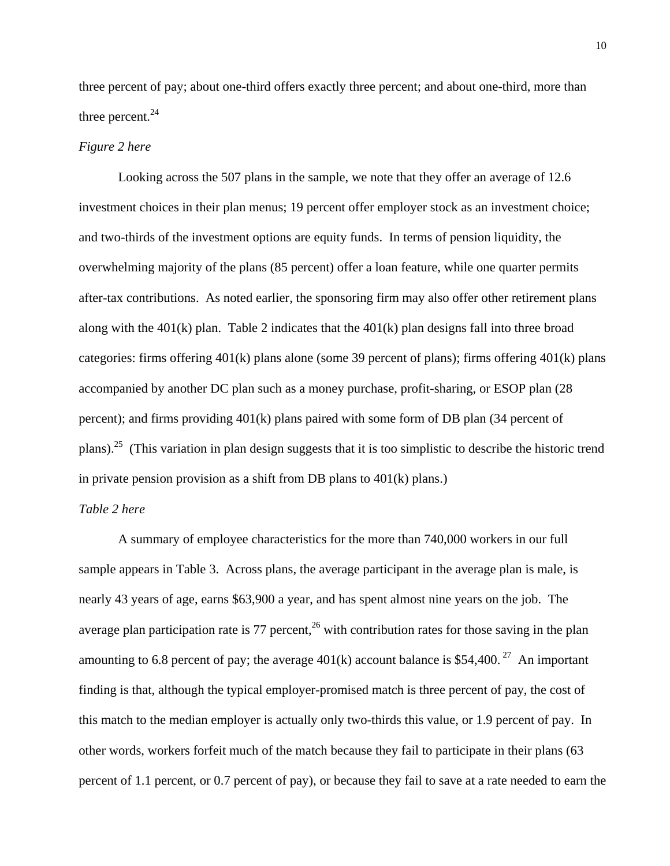three percent of pay; about one-third offers exactly three percent; and about one-third, more than three percent.<sup>24</sup>

## *Figure 2 here*

Looking across the 507 plans in the sample, we note that they offer an average of 12.6 investment choices in their plan menus; 19 percent offer employer stock as an investment choice; and two-thirds of the investment options are equity funds. In terms of pension liquidity, the overwhelming majority of the plans (85 percent) offer a loan feature, while one quarter permits after-tax contributions. As noted earlier, the sponsoring firm may also offer other retirement plans along with the  $401(k)$  plan. Table 2 indicates that the  $401(k)$  plan designs fall into three broad categories: firms offering 401(k) plans alone (some 39 percent of plans); firms offering 401(k) plans accompanied by another DC plan such as a money purchase, profit-sharing, or ESOP plan (28 percent); and firms providing 401(k) plans paired with some form of DB plan (34 percent of plans).25 (This variation in plan design suggests that it is too simplistic to describe the historic trend in private pension provision as a shift from DB plans to 401(k) plans.)

#### *Table 2 here*

A summary of employee characteristics for the more than 740,000 workers in our full sample appears in Table 3. Across plans, the average participant in the average plan is male, is nearly 43 years of age, earns \$63,900 a year, and has spent almost nine years on the job. The average plan participation rate is  $77$  percent,<sup>26</sup> with contribution rates for those saving in the plan amounting to 6.8 percent of pay; the average  $401(k)$  account balance is \$54,400.<sup>27</sup> An important finding is that, although the typical employer-promised match is three percent of pay, the cost of this match to the median employer is actually only two-thirds this value, or 1.9 percent of pay. In other words, workers forfeit much of the match because they fail to participate in their plans (63 percent of 1.1 percent, or 0.7 percent of pay), or because they fail to save at a rate needed to earn the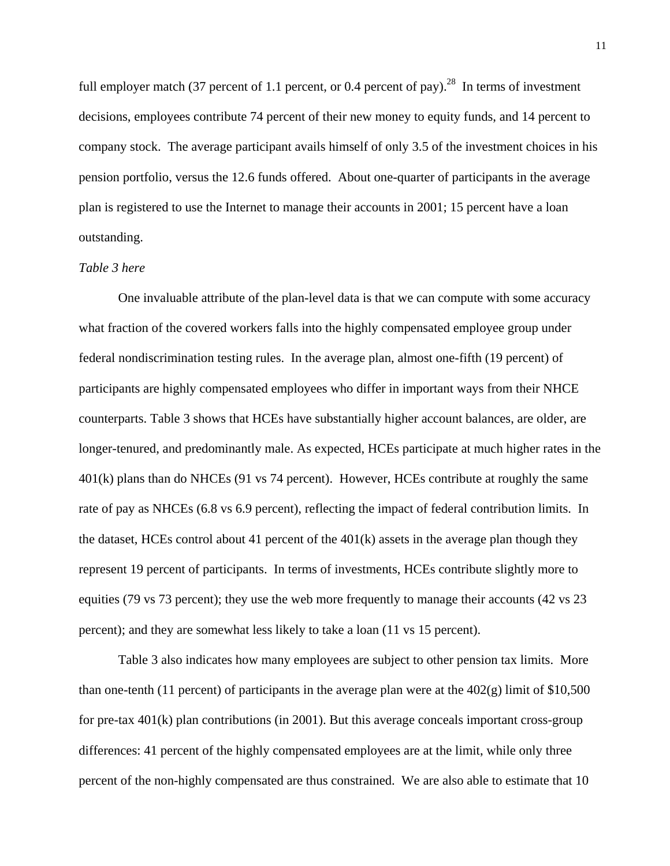full employer match (37 percent of 1.1 percent, or 0.4 percent of pay).<sup>28</sup> In terms of investment decisions, employees contribute 74 percent of their new money to equity funds, and 14 percent to company stock. The average participant avails himself of only 3.5 of the investment choices in his pension portfolio, versus the 12.6 funds offered. About one-quarter of participants in the average plan is registered to use the Internet to manage their accounts in 2001; 15 percent have a loan outstanding.

#### *Table 3 here*

One invaluable attribute of the plan-level data is that we can compute with some accuracy what fraction of the covered workers falls into the highly compensated employee group under federal nondiscrimination testing rules. In the average plan, almost one-fifth (19 percent) of participants are highly compensated employees who differ in important ways from their NHCE counterparts. Table 3 shows that HCEs have substantially higher account balances, are older, are longer-tenured, and predominantly male. As expected, HCEs participate at much higher rates in the 401(k) plans than do NHCEs (91 vs 74 percent). However, HCEs contribute at roughly the same rate of pay as NHCEs (6.8 vs 6.9 percent), reflecting the impact of federal contribution limits. In the dataset, HCEs control about 41 percent of the 401(k) assets in the average plan though they represent 19 percent of participants. In terms of investments, HCEs contribute slightly more to equities (79 vs 73 percent); they use the web more frequently to manage their accounts (42 vs 23 percent); and they are somewhat less likely to take a loan (11 vs 15 percent).

 Table 3 also indicates how many employees are subject to other pension tax limits. More than one-tenth (11 percent) of participants in the average plan were at the  $402(g)$  limit of \$10,500 for pre-tax 401(k) plan contributions (in 2001). But this average conceals important cross-group differences: 41 percent of the highly compensated employees are at the limit, while only three percent of the non-highly compensated are thus constrained. We are also able to estimate that 10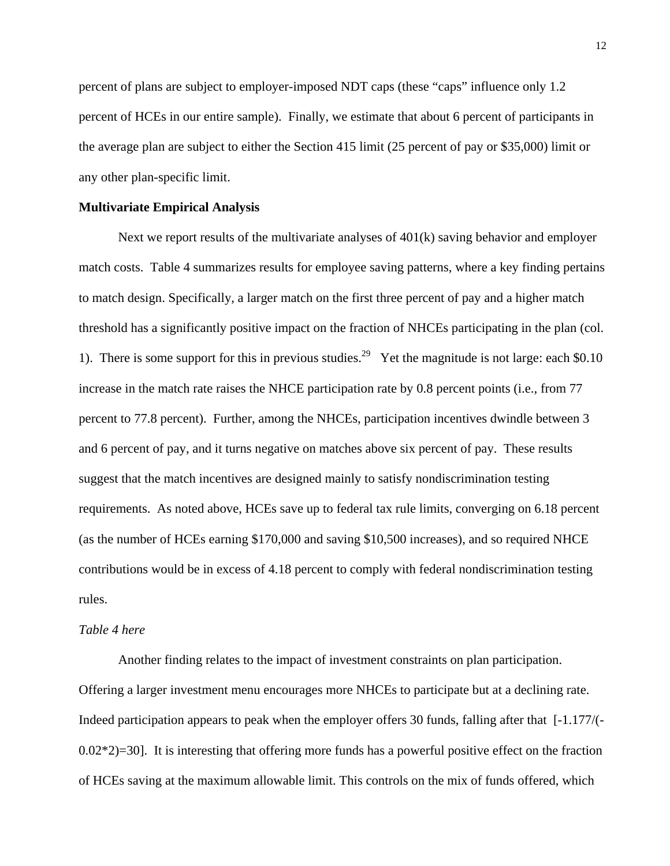percent of plans are subject to employer-imposed NDT caps (these "caps" influence only 1.2 percent of HCEs in our entire sample). Finally, we estimate that about 6 percent of participants in the average plan are subject to either the Section 415 limit (25 percent of pay or \$35,000) limit or any other plan-specific limit.

#### **Multivariate Empirical Analysis**

 Next we report results of the multivariate analyses of 401(k) saving behavior and employer match costs. Table 4 summarizes results for employee saving patterns, where a key finding pertains to match design. Specifically, a larger match on the first three percent of pay and a higher match threshold has a significantly positive impact on the fraction of NHCEs participating in the plan (col. 1). There is some support for this in previous studies.<sup>29</sup> Yet the magnitude is not large: each \$0.10 increase in the match rate raises the NHCE participation rate by 0.8 percent points (i.e., from 77 percent to 77.8 percent). Further, among the NHCEs, participation incentives dwindle between 3 and 6 percent of pay, and it turns negative on matches above six percent of pay. These results suggest that the match incentives are designed mainly to satisfy nondiscrimination testing requirements. As noted above, HCEs save up to federal tax rule limits, converging on 6.18 percent (as the number of HCEs earning \$170,000 and saving \$10,500 increases), and so required NHCE contributions would be in excess of 4.18 percent to comply with federal nondiscrimination testing rules.

#### *Table 4 here*

Another finding relates to the impact of investment constraints on plan participation. Offering a larger investment menu encourages more NHCEs to participate but at a declining rate. Indeed participation appears to peak when the employer offers 30 funds, falling after that [-1.177/(-  $0.02*2$ =30]. It is interesting that offering more funds has a powerful positive effect on the fraction of HCEs saving at the maximum allowable limit. This controls on the mix of funds offered, which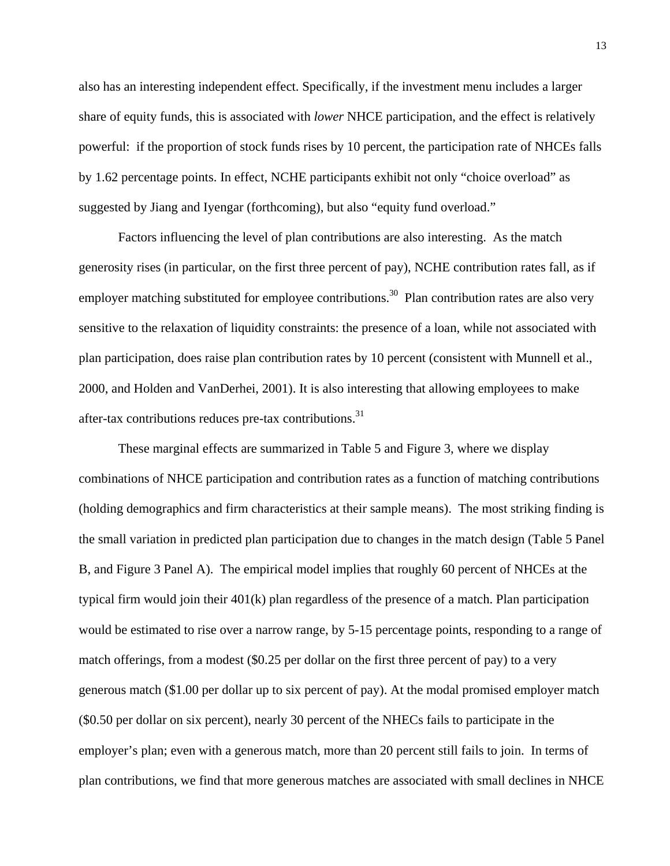also has an interesting independent effect. Specifically, if the investment menu includes a larger share of equity funds, this is associated with *lower* NHCE participation, and the effect is relatively powerful: if the proportion of stock funds rises by 10 percent, the participation rate of NHCEs falls by 1.62 percentage points. In effect, NCHE participants exhibit not only "choice overload" as suggested by Jiang and Iyengar (forthcoming), but also "equity fund overload."

Factors influencing the level of plan contributions are also interesting. As the match generosity rises (in particular, on the first three percent of pay), NCHE contribution rates fall, as if employer matching substituted for employee contributions.<sup>30</sup> Plan contribution rates are also very sensitive to the relaxation of liquidity constraints: the presence of a loan, while not associated with plan participation, does raise plan contribution rates by 10 percent (consistent with Munnell et al., 2000, and Holden and VanDerhei, 2001). It is also interesting that allowing employees to make after-tax contributions reduces pre-tax contributions. $31$ 

These marginal effects are summarized in Table 5 and Figure 3, where we display combinations of NHCE participation and contribution rates as a function of matching contributions (holding demographics and firm characteristics at their sample means). The most striking finding is the small variation in predicted plan participation due to changes in the match design (Table 5 Panel B, and Figure 3 Panel A). The empirical model implies that roughly 60 percent of NHCEs at the typical firm would join their 401(k) plan regardless of the presence of a match. Plan participation would be estimated to rise over a narrow range, by 5-15 percentage points, responding to a range of match offerings, from a modest (\$0.25 per dollar on the first three percent of pay) to a very generous match (\$1.00 per dollar up to six percent of pay). At the modal promised employer match (\$0.50 per dollar on six percent), nearly 30 percent of the NHECs fails to participate in the employer's plan; even with a generous match, more than 20 percent still fails to join. In terms of plan contributions, we find that more generous matches are associated with small declines in NHCE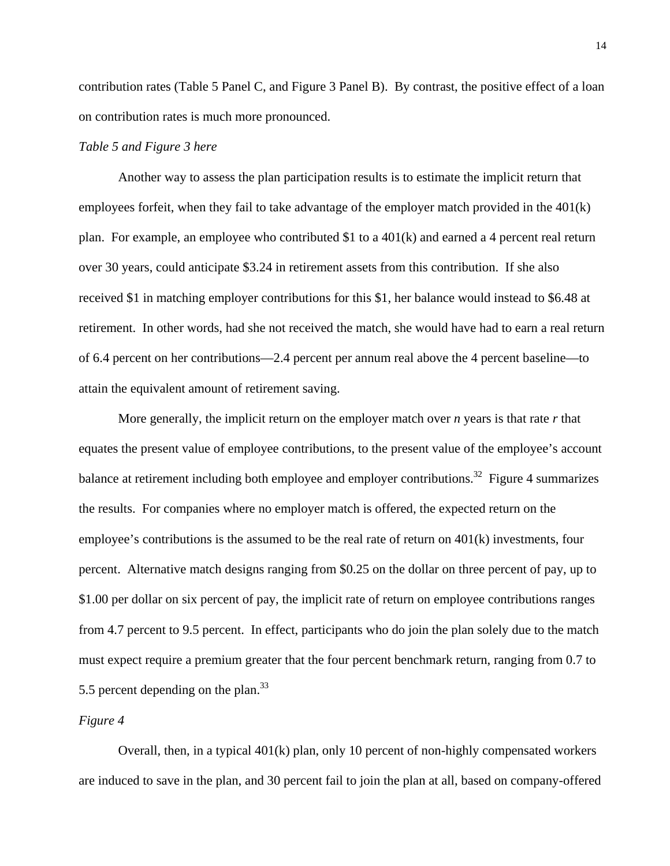contribution rates (Table 5 Panel C, and Figure 3 Panel B). By contrast, the positive effect of a loan on contribution rates is much more pronounced.

#### *Table 5 and Figure 3 here*

Another way to assess the plan participation results is to estimate the implicit return that employees forfeit, when they fail to take advantage of the employer match provided in the 401(k) plan. For example, an employee who contributed \$1 to a 401(k) and earned a 4 percent real return over 30 years, could anticipate \$3.24 in retirement assets from this contribution. If she also received \$1 in matching employer contributions for this \$1, her balance would instead to \$6.48 at retirement. In other words, had she not received the match, she would have had to earn a real return of 6.4 percent on her contributions—2.4 percent per annum real above the 4 percent baseline—to attain the equivalent amount of retirement saving.

More generally, the implicit return on the employer match over *n* years is that rate *r* that equates the present value of employee contributions, to the present value of the employee's account balance at retirement including both employee and employer contributions.<sup>32</sup> Figure 4 summarizes the results. For companies where no employer match is offered, the expected return on the employee's contributions is the assumed to be the real rate of return on 401(k) investments, four percent. Alternative match designs ranging from \$0.25 on the dollar on three percent of pay, up to \$1.00 per dollar on six percent of pay, the implicit rate of return on employee contributions ranges from 4.7 percent to 9.5 percent. In effect, participants who do join the plan solely due to the match must expect require a premium greater that the four percent benchmark return, ranging from 0.7 to 5.5 percent depending on the plan.<sup>33</sup>

#### *Figure 4*

Overall, then, in a typical 401(k) plan, only 10 percent of non-highly compensated workers are induced to save in the plan, and 30 percent fail to join the plan at all, based on company-offered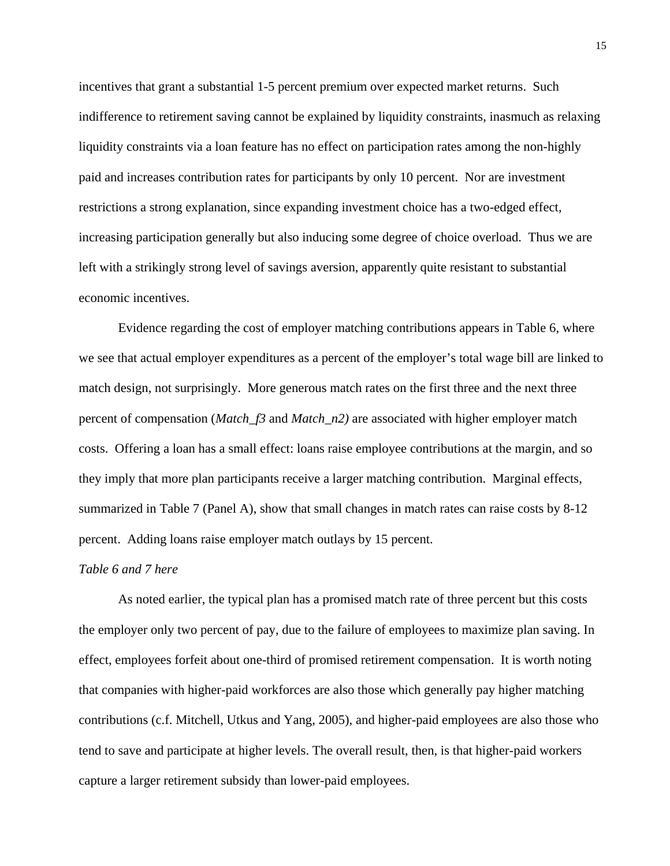incentives that grant a substantial 1-5 percent premium over expected market returns. Such indifference to retirement saving cannot be explained by liquidity constraints, inasmuch as relaxing liquidity constraints via a loan feature has no effect on participation rates among the non-highly paid and increases contribution rates for participants by only 10 percent. Nor are investment restrictions a strong explanation, since expanding investment choice has a two-edged effect, increasing participation generally but also inducing some degree of choice overload. Thus we are left with a strikingly strong level of savings aversion, apparently quite resistant to substantial economic incentives.

Evidence regarding the cost of employer matching contributions appears in Table 6, where we see that actual employer expenditures as a percent of the employer's total wage bill are linked to match design, not surprisingly. More generous match rates on the first three and the next three percent of compensation (*Match\_f3* and *Match\_n2)* are associated with higher employer match costs. Offering a loan has a small effect: loans raise employee contributions at the margin, and so they imply that more plan participants receive a larger matching contribution. Marginal effects, summarized in Table 7 (Panel A), show that small changes in match rates can raise costs by 8-12 percent. Adding loans raise employer match outlays by 15 percent.

#### *Table 6 and 7 here*

 As noted earlier, the typical plan has a promised match rate of three percent but this costs the employer only two percent of pay, due to the failure of employees to maximize plan saving. In effect, employees forfeit about one-third of promised retirement compensation. It is worth noting that companies with higher-paid workforces are also those which generally pay higher matching contributions (c.f. Mitchell, Utkus and Yang, 2005), and higher-paid employees are also those who tend to save and participate at higher levels. The overall result, then, is that higher-paid workers capture a larger retirement subsidy than lower-paid employees.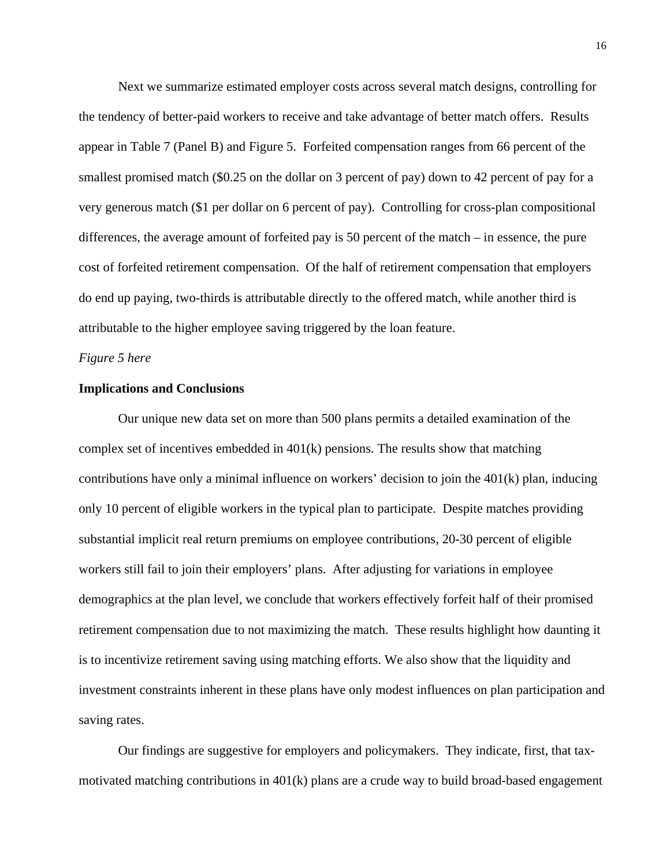Next we summarize estimated employer costs across several match designs, controlling for the tendency of better-paid workers to receive and take advantage of better match offers. Results appear in Table 7 (Panel B) and Figure 5. Forfeited compensation ranges from 66 percent of the smallest promised match (\$0.25 on the dollar on 3 percent of pay) down to 42 percent of pay for a very generous match (\$1 per dollar on 6 percent of pay). Controlling for cross-plan compositional differences, the average amount of forfeited pay is 50 percent of the match – in essence, the pure cost of forfeited retirement compensation. Of the half of retirement compensation that employers do end up paying, two-thirds is attributable directly to the offered match, while another third is attributable to the higher employee saving triggered by the loan feature.

#### *Figure 5 here*

#### **Implications and Conclusions**

Our unique new data set on more than 500 plans permits a detailed examination of the complex set of incentives embedded in 401(k) pensions. The results show that matching contributions have only a minimal influence on workers' decision to join the 401(k) plan, inducing only 10 percent of eligible workers in the typical plan to participate. Despite matches providing substantial implicit real return premiums on employee contributions, 20-30 percent of eligible workers still fail to join their employers' plans. After adjusting for variations in employee demographics at the plan level, we conclude that workers effectively forfeit half of their promised retirement compensation due to not maximizing the match. These results highlight how daunting it is to incentivize retirement saving using matching efforts. We also show that the liquidity and investment constraints inherent in these plans have only modest influences on plan participation and saving rates.

Our findings are suggestive for employers and policymakers. They indicate, first, that taxmotivated matching contributions in 401(k) plans are a crude way to build broad-based engagement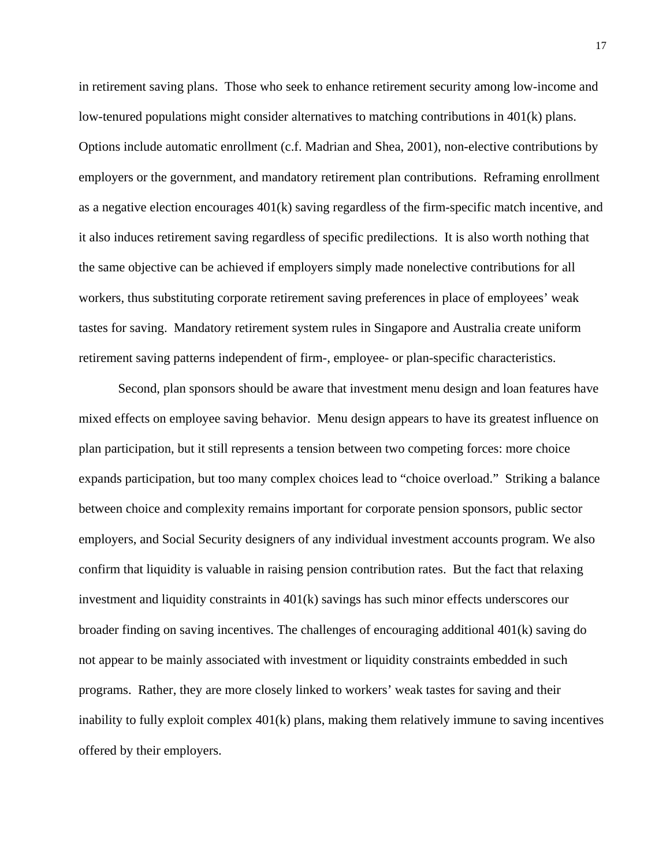in retirement saving plans. Those who seek to enhance retirement security among low-income and low-tenured populations might consider alternatives to matching contributions in 401(k) plans. Options include automatic enrollment (c.f. Madrian and Shea, 2001), non-elective contributions by employers or the government, and mandatory retirement plan contributions. Reframing enrollment as a negative election encourages 401(k) saving regardless of the firm-specific match incentive, and it also induces retirement saving regardless of specific predilections. It is also worth nothing that the same objective can be achieved if employers simply made nonelective contributions for all workers, thus substituting corporate retirement saving preferences in place of employees' weak tastes for saving. Mandatory retirement system rules in Singapore and Australia create uniform retirement saving patterns independent of firm-, employee- or plan-specific characteristics.

Second, plan sponsors should be aware that investment menu design and loan features have mixed effects on employee saving behavior. Menu design appears to have its greatest influence on plan participation, but it still represents a tension between two competing forces: more choice expands participation, but too many complex choices lead to "choice overload." Striking a balance between choice and complexity remains important for corporate pension sponsors, public sector employers, and Social Security designers of any individual investment accounts program. We also confirm that liquidity is valuable in raising pension contribution rates. But the fact that relaxing investment and liquidity constraints in 401(k) savings has such minor effects underscores our broader finding on saving incentives. The challenges of encouraging additional 401(k) saving do not appear to be mainly associated with investment or liquidity constraints embedded in such programs. Rather, they are more closely linked to workers' weak tastes for saving and their inability to fully exploit complex 401(k) plans, making them relatively immune to saving incentives offered by their employers.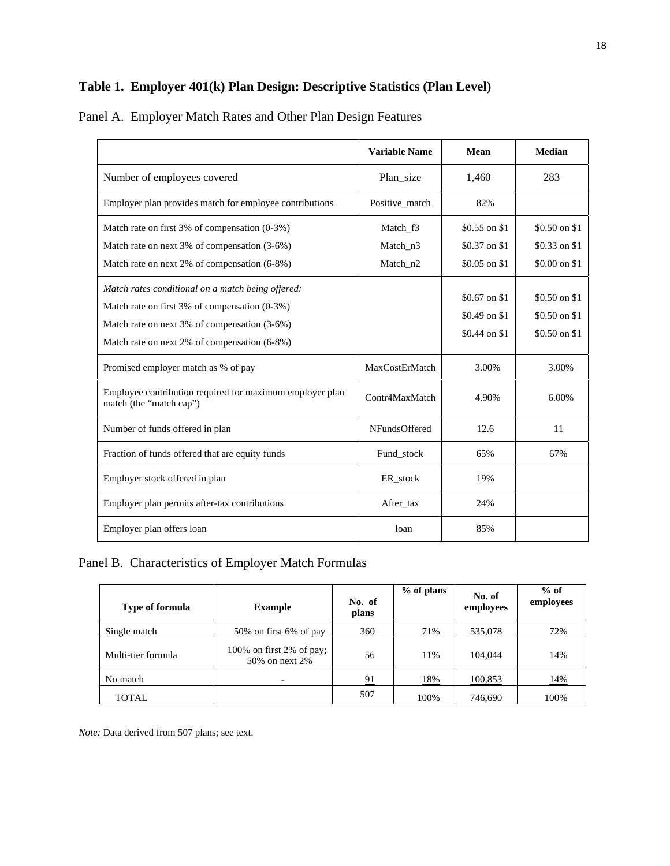# **Table 1. Employer 401(k) Plan Design: Descriptive Statistics (Plan Level)**

|                                                                                                                                                                                                    | <b>Variable Name</b>             | Mean                                              | <b>Median</b>                                    |
|----------------------------------------------------------------------------------------------------------------------------------------------------------------------------------------------------|----------------------------------|---------------------------------------------------|--------------------------------------------------|
| Number of employees covered                                                                                                                                                                        | Plan_size                        | 1,460                                             | 283                                              |
| Employer plan provides match for employee contributions                                                                                                                                            | Positive match                   | 82%                                               |                                                  |
| Match rate on first 3% of compensation (0-3%)<br>Match rate on next 3% of compensation (3-6%)<br>Match rate on next 2% of compensation (6-8%)                                                      | Match f3<br>Match n3<br>Match_n2 | $$0.55$ on \$1<br>$$0.37$ on \$1<br>\$0.05 on \$1 | $$0.50$ on \$1<br>\$0.33 on \$1<br>\$0.00 on \$1 |
| Match rates conditional on a match being offered:<br>Match rate on first 3% of compensation (0-3%)<br>Match rate on next 3% of compensation (3-6%)<br>Match rate on next 2% of compensation (6-8%) |                                  | $$0.67$ on \$1<br>$$0.49$ on \$1<br>\$0.44 on \$1 | \$0.50 on \$1<br>\$0.50 on \$1<br>\$0.50 on \$1  |
| Promised employer match as % of pay                                                                                                                                                                | MaxCostErMatch                   | 3.00%                                             | 3.00%                                            |
| Employee contribution required for maximum employer plan<br>match (the "match cap")                                                                                                                | Contr4MaxMatch                   | 4.90%                                             | 6.00%                                            |
| Number of funds offered in plan                                                                                                                                                                    | NFundsOffered                    | 12.6                                              | 11                                               |
| Fraction of funds offered that are equity funds                                                                                                                                                    | Fund_stock                       | 65%                                               | 67%                                              |
| Employer stock offered in plan                                                                                                                                                                     | ER_stock                         | 19%                                               |                                                  |
| Employer plan permits after-tax contributions                                                                                                                                                      | After tax                        | 24%                                               |                                                  |
| Employer plan offers loan                                                                                                                                                                          | loan                             | 85%                                               |                                                  |

# Panel A. Employer Match Rates and Other Plan Design Features

Panel B. Characteristics of Employer Match Formulas

| <b>Type of formula</b> | <b>Example</b>                             | No. of<br>plans | % of plans | No. of<br>employees | $%$ of<br>employees |
|------------------------|--------------------------------------------|-----------------|------------|---------------------|---------------------|
| Single match           | 50% on first 6% of pay                     | 360             | 71%        | 535,078             | 72%                 |
| Multi-tier formula     | 100% on first 2% of pay;<br>50% on next 2% | 56              | 11%        | 104.044             | 14%                 |
| No match               | -                                          | 91              | <u>18%</u> | 100,853             | <u>14%</u>          |
| TOTAL                  |                                            | 507             | 100%       | 746,690             | 100%                |

*Note:* Data derived from 507 plans; see text.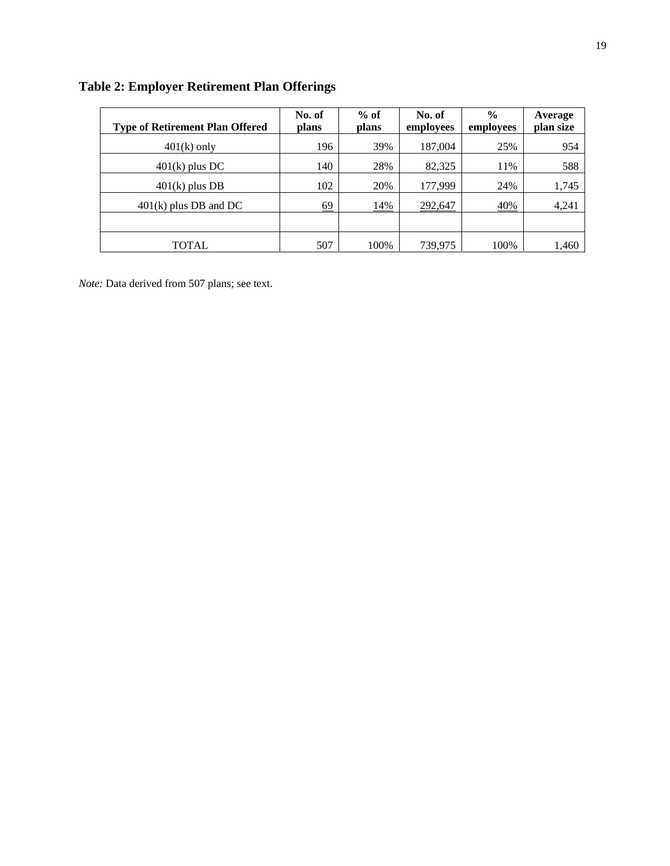| <b>Type of Retirement Plan Offered</b> | No. of<br>plans | $%$ of<br>plans | No. of<br>employees | $\frac{0}{0}$<br>employees | Average<br>plan size |
|----------------------------------------|-----------------|-----------------|---------------------|----------------------------|----------------------|
| $401(k)$ only                          | 196             | 39%             | 187,004             | 25%                        | 954                  |
| $401(k)$ plus DC                       | 140             | 28%             | 82,325              | 11%                        | 588                  |
| $401(k)$ plus DB                       | 102             | 20%             | 177,999             | 24%                        | 1,745                |
| $401(k)$ plus DB and DC                | 69              | 14%             | 292,647             | 40%                        | 4,241                |
|                                        |                 |                 |                     |                            |                      |
| TOTAL                                  | 507             | 100%            | 739,975             | 100%                       | 1,460                |

# **Table 2: Employer Retirement Plan Offerings**

*Note:* Data derived from 507 plans; see text.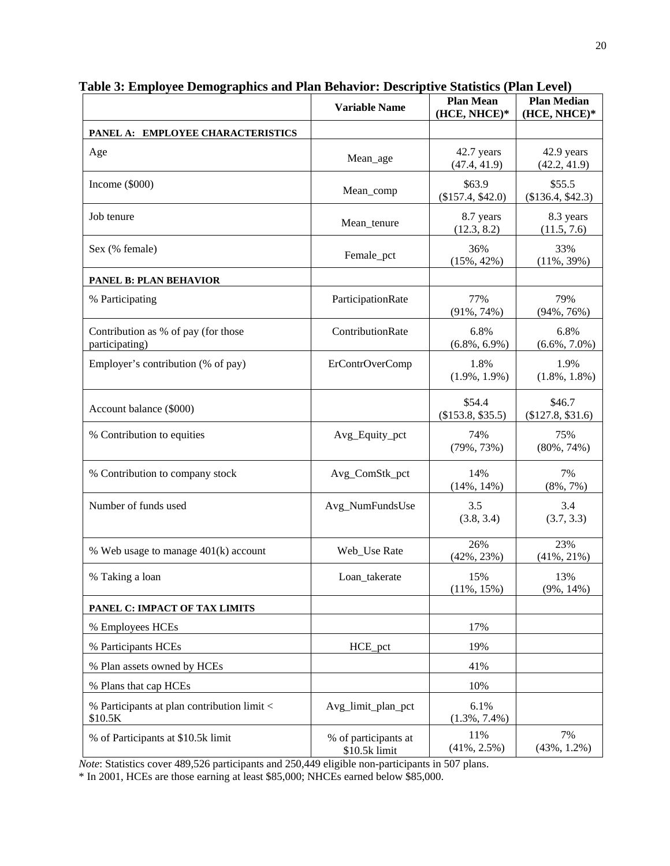|                                                        | <b>Variable Name</b>                  | <b>Plan Mean</b><br>(HCE, NHCE)* | <b>Plan Median</b><br>(HCE, NHCE)* |
|--------------------------------------------------------|---------------------------------------|----------------------------------|------------------------------------|
| PANEL A: EMPLOYEE CHARACTERISTICS                      |                                       |                                  |                                    |
| Age                                                    | Mean_age                              | 42.7 years<br>(47.4, 41.9)       | 42.9 years<br>(42.2, 41.9)         |
| Income $(\$000)$                                       | Mean_comp                             | \$63.9<br>(\$157.4, \$42.0)      | \$55.5<br>$(\$136.4, \$42.3)$      |
| Job tenure                                             | Mean_tenure                           | 8.7 years<br>(12.3, 8.2)         | 8.3 years<br>(11.5, 7.6)           |
| Sex (% female)                                         | Female_pct                            | 36%<br>$(15\%, 42\%)$            | 33%<br>$(11\%, 39\%)$              |
| <b>PANEL B: PLAN BEHAVIOR</b>                          |                                       |                                  |                                    |
| % Participating                                        | ParticipationRate                     | 77%<br>$(91\%, 74\%)$            | 79%<br>$(94\%, 76\%)$              |
| Contribution as % of pay (for those<br>participating)  | ContributionRate                      | 6.8%<br>$(6.8\%, 6.9\%)$         | 6.8%<br>$(6.6\%, 7.0\%)$           |
| Employer's contribution (% of pay)                     | <b>ErContrOverComp</b>                | 1.8%<br>$(1.9\%, 1.9\%)$         | 1.9%<br>$(1.8\%, 1.8\%)$           |
| Account balance (\$000)                                |                                       | \$54.4<br>(\$153.8, \$35.5)      | \$46.7<br>$(\$127.8, \$31.6)$      |
| % Contribution to equities                             | Avg_Equity_pct                        | 74%<br>$(79\%, 73\%)$            | 75%<br>$(80\%, 74\%)$              |
| % Contribution to company stock                        | Avg_ComStk_pct                        | 14%<br>$(14\%, 14\%)$            | 7%<br>$(8\%, 7\%)$                 |
| Number of funds used                                   | Avg_NumFundsUse                       | 3.5<br>(3.8, 3.4)                | 3.4<br>(3.7, 3.3)                  |
| % Web usage to manage 401(k) account                   | Web_Use Rate                          | 26%<br>$(42\%, 23\%)$            | 23%<br>$(41\%, 21\%)$              |
| % Taking a loan                                        | Loan_takerate                         | 15%<br>$(11\%, 15\%)$            | 13%<br>$(9\%, 14\%)$               |
| PANEL C: IMPACT OF TAX LIMITS                          |                                       |                                  |                                    |
| % Employees HCEs                                       |                                       | 17%                              |                                    |
| % Participants HCEs                                    | HCE pct                               | 19%                              |                                    |
| % Plan assets owned by HCEs                            |                                       | 41%                              |                                    |
| % Plans that cap HCEs                                  |                                       | 10%                              |                                    |
| % Participants at plan contribution limit <<br>\$10.5K | Avg_limit_plan_pct                    | 6.1%<br>$(1.3\%, 7.4\%)$         |                                    |
| % of Participants at \$10.5k limit                     | % of participants at<br>\$10.5k limit | 11%<br>$(41\%, 2.5\%)$           | 7%<br>$(43\%, 1.2\%)$              |

**Table 3: Employee Demographics and Plan Behavior: Descriptive Statistics (Plan Level)** 

*Note*: Statistics cover 489,526 participants and 250,449 eligible non-participants in 507 plans.

\* In 2001, HCEs are those earning at least \$85,000; NHCEs earned below \$85,000.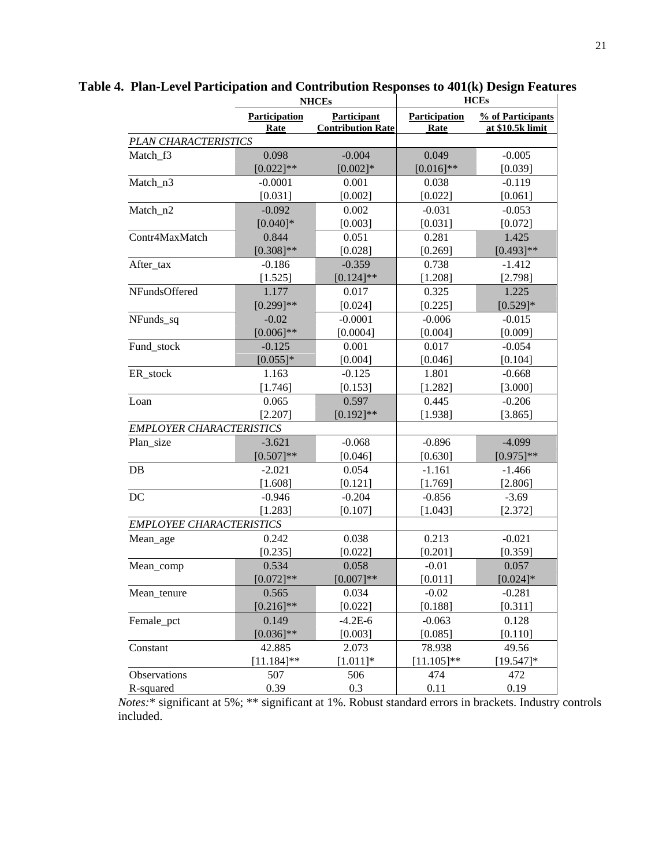|                                 | <b>NHCEs</b>          |                                                | <b>HCEs</b>                  |                                       |  |
|---------------------------------|-----------------------|------------------------------------------------|------------------------------|---------------------------------------|--|
|                                 | Participation<br>Rate | <b>Participant</b><br><b>Contribution Rate</b> | <b>Participation</b><br>Rate | % of Participants<br>at \$10.5k limit |  |
| PLAN CHARACTERISTICS            |                       |                                                |                              |                                       |  |
| Match_f3                        | 0.098                 | $-0.004$                                       | 0.049                        | $-0.005$                              |  |
|                                 | $[0.022]$ **          | $[0.002]*$                                     | $[0.016]$ **                 | [0.039]                               |  |
| Match_n3                        | $-0.0001$             | 0.001                                          | 0.038                        | $-0.119$                              |  |
|                                 | [0.031]               | [0.002]                                        | [0.022]                      | [0.061]                               |  |
| Match_n2                        | $-0.092$              | 0.002                                          | $-0.031$                     | $-0.053$                              |  |
|                                 | $[0.040]$ *           | [0.003]                                        | [0.031]                      | [0.072]                               |  |
| Contr4MaxMatch                  | 0.844                 | 0.051                                          | 0.281                        | 1.425                                 |  |
|                                 | $[0.308]$ **          | [0.028]                                        | [0.269]                      | $[0.493]$ **                          |  |
| After_tax                       | $-0.186$              | $-0.359$                                       | 0.738                        | $-1.412$                              |  |
|                                 | [1.525]               | $[0.124]$ **                                   | [1.208]                      | [2.798]                               |  |
| NFundsOffered                   | 1.177                 | 0.017                                          | 0.325                        | 1.225                                 |  |
|                                 | $[0.299]$ **          | [0.024]                                        | [0.225]                      | $[0.529]*$                            |  |
| NFunds_sq                       | $-0.02$               | $-0.0001$                                      | $-0.006$                     | $-0.015$                              |  |
|                                 | $[0.006]$ **          | [0.0004]                                       | [0.004]                      | [0.009]                               |  |
| Fund_stock                      | $-0.125$              | 0.001                                          | 0.017                        | $-0.054$                              |  |
|                                 | $[0.055]$ *           | [0.004]                                        | [0.046]                      | [0.104]                               |  |
| ER_stock                        | 1.163                 | $-0.125$                                       | 1.801                        | $-0.668$                              |  |
|                                 | [1.746]               | [0.153]                                        | [1.282]                      | [3.000]                               |  |
| Loan                            | 0.065                 | 0.597                                          | 0.445                        | $-0.206$                              |  |
|                                 | [2.207]               | $[0.192]$ **                                   | [1.938]                      | [3.865]                               |  |
| <b>EMPLOYER CHARACTERISTICS</b> |                       |                                                |                              |                                       |  |
| Plan_size                       | $-3.621$              | $-0.068$                                       | $-0.896$                     | $-4.099$                              |  |
|                                 | $[0.507]**$           | [0.046]                                        | [0.630]                      | $[0.975]**$                           |  |
| $DB$                            | $-2.021$              | 0.054                                          | $-1.161$                     | $-1.466$                              |  |
|                                 | [1.608]               | [0.121]                                        | [1.769]                      | [2.806]                               |  |
| DC                              | $-0.946$              | $-0.204$                                       | $-0.856$                     | $-3.69$                               |  |
|                                 | [1.283]               | [0.107]                                        | [1.043]                      | [2.372]                               |  |
| <b>EMPLOYEE CHARACTERISTICS</b> |                       |                                                |                              |                                       |  |
| Mean_age                        | 0.242                 | 0.038                                          | 0.213                        | $-0.021$                              |  |
|                                 | [0.235]               | [0.022]                                        | [0.201]                      | [0.359]                               |  |
| Mean_comp                       | 0.534                 | 0.058                                          | $-0.01$                      | 0.057                                 |  |
|                                 | $[0.072]$ **          | $[0.007]**$                                    | [0.011]                      | $[0.024]$ *                           |  |
| Mean_tenure                     | 0.565                 | 0.034                                          | $-0.02$                      | $-0.281$                              |  |
|                                 | $[0.216]$ **          | [0.022]                                        | [0.188]                      | [0.311]                               |  |
| Female_pct                      | 0.149                 | $-4.2E-6$                                      | $-0.063$                     | 0.128                                 |  |
|                                 | $[0.036]$ **          | [0.003]                                        | [0.085]                      | [0.110]                               |  |
| Constant                        | 42.885                | 2.073                                          | 78.938                       | 49.56                                 |  |
|                                 | $[11.184]$ **         | $[1.011]*$                                     | $[11.105]**$                 | $[19.547]$ *                          |  |
| Observations                    | 507                   | 506                                            | 474                          | 472                                   |  |
| R-squared                       | 0.39                  | 0.3                                            | 0.11                         | 0.19                                  |  |

**Table 4. Plan-Level Participation and Contribution Responses to 401(k) Design Features** 

*Notes:*\* significant at 5%; \*\* significant at 1%. Robust standard errors in brackets. Industry controls included.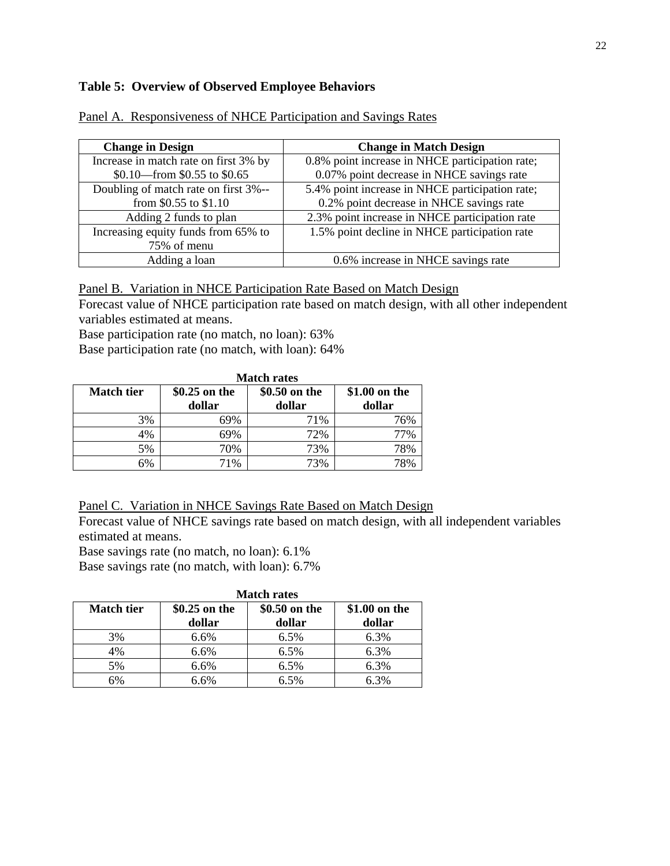### **Table 5: Overview of Observed Employee Behaviors**

| <b>Change in Design</b>               | <b>Change in Match Design</b>                   |
|---------------------------------------|-------------------------------------------------|
| Increase in match rate on first 3% by | 0.8% point increase in NHCE participation rate; |
| \$0.10 from \$0.55 to \$0.65          | 0.07% point decrease in NHCE savings rate       |
| Doubling of match rate on first 3%--  | 5.4% point increase in NHCE participation rate; |
| from \$0.55 to \$1.10                 | 0.2% point decrease in NHCE savings rate        |
| Adding 2 funds to plan                | 2.3% point increase in NHCE participation rate  |
| Increasing equity funds from 65% to   | 1.5% point decline in NHCE participation rate   |
| 75% of menu                           |                                                 |
| Adding a loan                         | 0.6% increase in NHCE savings rate              |

Panel A. Responsiveness of NHCE Participation and Savings Rates

Panel B. Variation in NHCE Participation Rate Based on Match Design

Forecast value of NHCE participation rate based on match design, with all other independent variables estimated at means.

Base participation rate (no match, no loan): 63%

Base participation rate (no match, with loan): 64%

|                   | <b>Match rates</b>      |                         |                         |  |  |
|-------------------|-------------------------|-------------------------|-------------------------|--|--|
| <b>Match tier</b> | \$0.25 on the<br>dollar | \$0.50 on the<br>dollar | \$1.00 on the<br>dollar |  |  |
| 3%                | 69%                     | 71%                     | 76%                     |  |  |
| 4%                | 69%                     | 72%                     | 77%                     |  |  |
| 5%                | 70%                     | 73%                     | 78%                     |  |  |
| 6%                | 71%                     | 73%                     | 78%                     |  |  |

Panel C. Variation in NHCE Savings Rate Based on Match Design

Forecast value of NHCE savings rate based on match design, with all independent variables estimated at means.

Base savings rate (no match, no loan): 6.1%

Base savings rate (no match, with loan): 6.7%

|                   | <b>Match rates</b> |               |               |  |  |
|-------------------|--------------------|---------------|---------------|--|--|
| <b>Match tier</b> | \$0.25 on the      | \$0.50 on the | \$1.00 on the |  |  |
|                   | dollar             | dollar        | dollar        |  |  |
| 3%                | 6.6%               | 6.5%          | 6.3%          |  |  |
| 4%                | 6.6%               | 6.5%          | 6.3%          |  |  |
| 5%                | 6.6%               | 6.5%          | 6.3%          |  |  |
| 6%                | 6.6%               | 6.5%          | 6.3%          |  |  |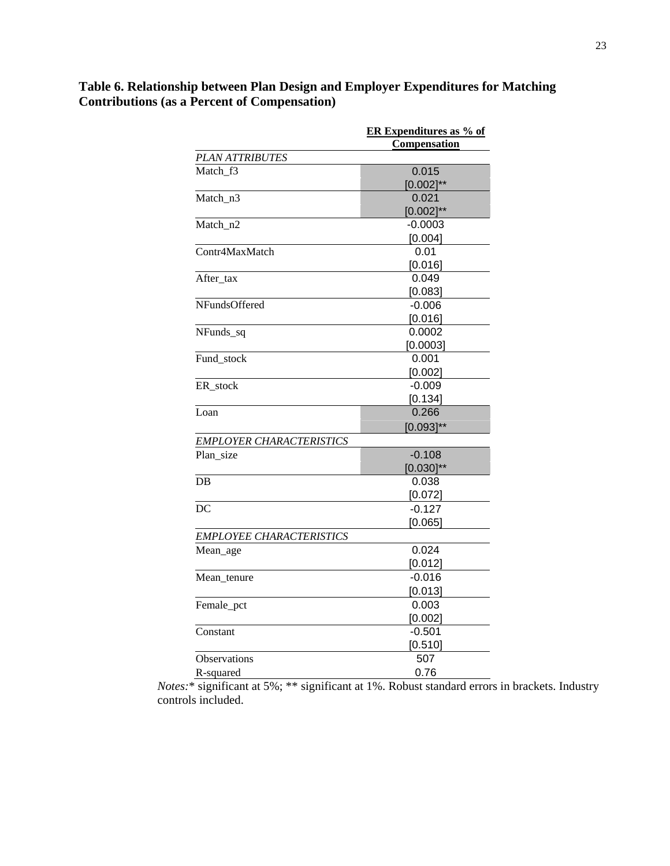|                                 | <b>ER Expenditures as % of</b> |
|---------------------------------|--------------------------------|
|                                 | Compensation                   |
| <b>PLAN ATTRIBUTES</b>          |                                |
| Match f3                        | 0.015                          |
|                                 | $[0.002]^{**}$                 |
| Match n3                        | 0.021                          |
|                                 | $[0.002]^{**}$                 |
| Match n <sub>2</sub>            | -0.0003                        |
|                                 | [0.004]                        |
| Contr4MaxMatch                  | 0.01                           |
|                                 | [0.016]                        |
| After_tax                       | 0.049                          |
|                                 | [0.083]                        |
| <b>NFundsOffered</b>            | $-0.006$                       |
|                                 | [0.016]                        |
| NFunds_sq                       | 0.0002                         |
|                                 | [0.0003]                       |
| Fund stock                      | 0.001                          |
|                                 | [0.002]                        |
| ER stock                        | $-0.009$                       |
|                                 | [0.134]                        |
| Loan                            | 0.266                          |
|                                 | $[0.093]^{**}$                 |
| <b>EMPLOYER CHARACTERISTICS</b> |                                |
| Plan_size                       | $-0.108$                       |
|                                 | $[0.030]^{**}$                 |
| DB                              | 0.038                          |
|                                 | [0.072]                        |
| DC                              | $-0.127$                       |
|                                 | [0.065]                        |
| <b>EMPLOYEE CHARACTERISTICS</b> |                                |
| Mean_age                        | 0.024                          |
|                                 | [0.012]                        |
| Mean_tenure                     | -0.016                         |
|                                 | [0.013]                        |
| Female_pct                      | 0.003                          |
|                                 | [0.002]                        |
| Constant                        | $-0.501$                       |
|                                 | [0.510]                        |
| Observations                    | 507                            |
| R-squared                       | 0.76                           |
|                                 |                                |

# **Table 6. Relationship between Plan Design and Employer Expenditures for Matching Contributions (as a Percent of Compensation)**

*Notes:*\* significant at 5%; \*\* significant at 1%. Robust standard errors in brackets. Industry controls included.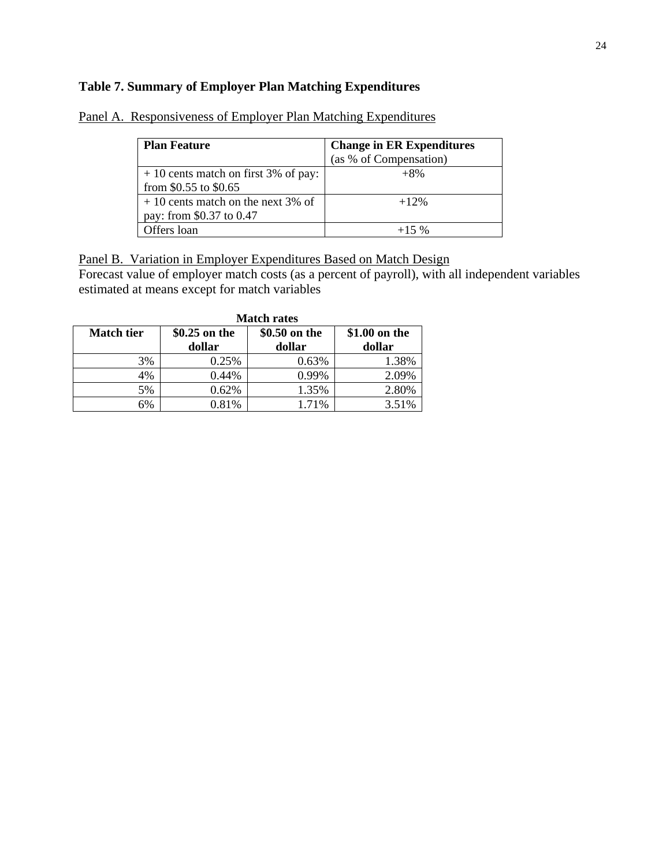## **Table 7. Summary of Employer Plan Matching Expenditures**

| <b>Plan Feature</b>                                             | <b>Change in ER Expenditures</b><br>(as % of Compensation) |
|-----------------------------------------------------------------|------------------------------------------------------------|
| $+10$ cents match on first 3% of pay:<br>from \$0.55 to \$0.65  | $+8\%$                                                     |
| $+10$ cents match on the next 3% of<br>pay: from \$0.37 to 0.47 | $+12%$                                                     |
| Offers loan                                                     | $+15\%$                                                    |

Panel A. Responsiveness of Employer Plan Matching Expenditures

Panel B. Variation in Employer Expenditures Based on Match Design

Forecast value of employer match costs (as a percent of payroll), with all independent variables estimated at means except for match variables

|                   | <b>Match rates</b> |               |               |  |  |
|-------------------|--------------------|---------------|---------------|--|--|
| <b>Match tier</b> | \$0.25 on the      | \$0.50 on the | \$1.00 on the |  |  |
|                   | dollar             | dollar        | dollar        |  |  |
| 3%                | 0.25%              | 0.63%         | 1.38%         |  |  |
| 4%                | 0.44%              | 0.99%         | 2.09%         |  |  |
| 5%                | 0.62%              | 1.35%         | 2.80%         |  |  |
| 6%                | 0.81%              | 1.71%         | 3.51%         |  |  |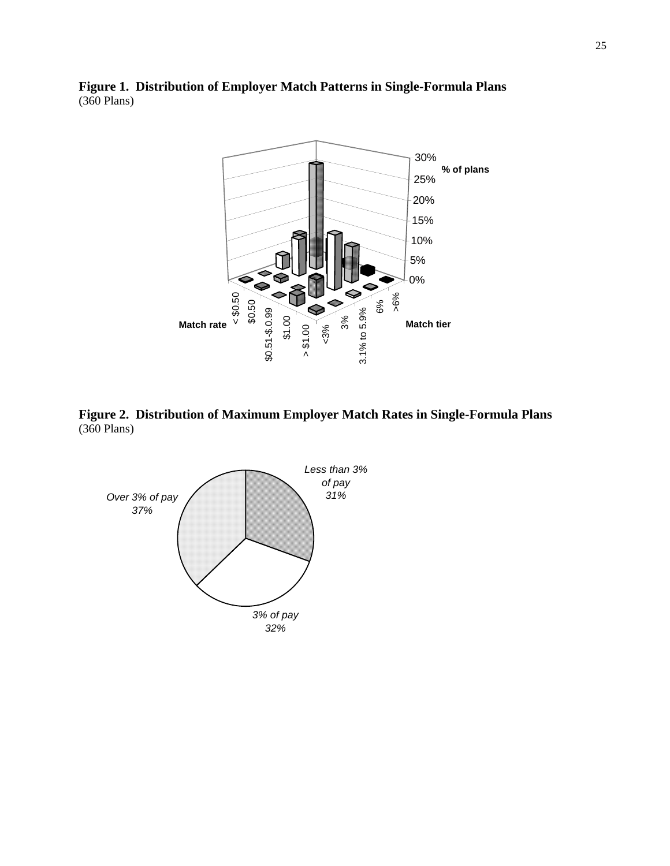



**Figure 2. Distribution of Maximum Employer Match Rates in Single-Formula Plans**  (360 Plans)

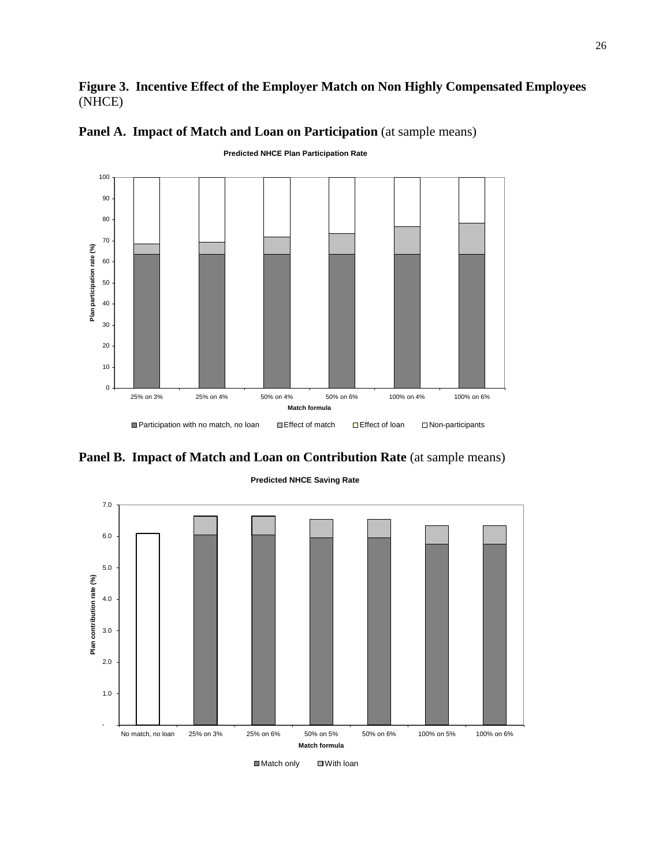## **Figure 3. Incentive Effect of the Employer Match on Non Highly Compensated Employees**  (NHCE)



## Panel A. Impact of Match and Loan on Participation (at sample means)





#### **Predicted NHCE Saving Rate**

■Match only ■With loan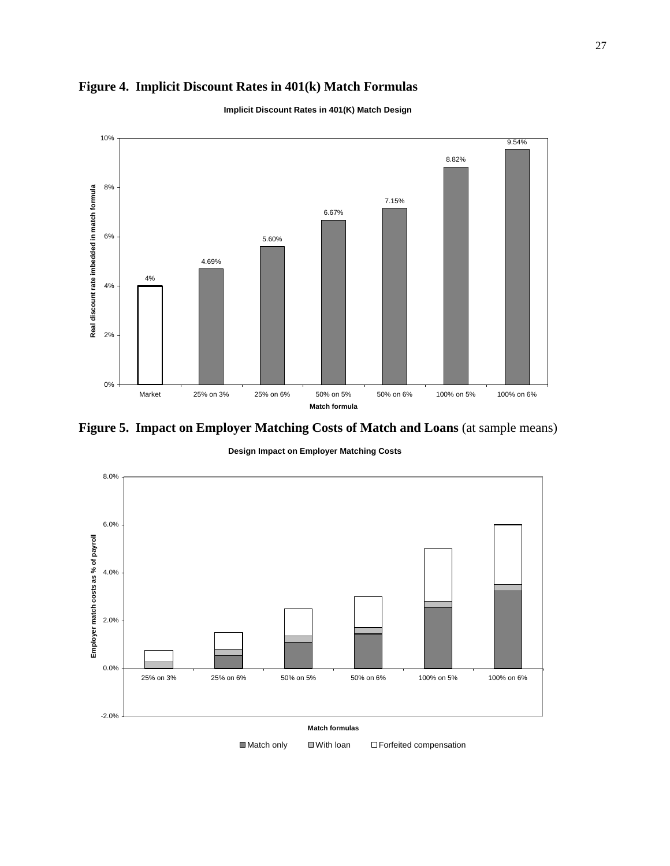# **Figure 4. Implicit Discount Rates in 401(k) Match Formulas**



**Implicit Discount Rates in 401(K) Match Design**

**Figure 5. Impact on Employer Matching Costs of Match and Loans** (at sample means)

**Design Impact on Employer Matching Costs**

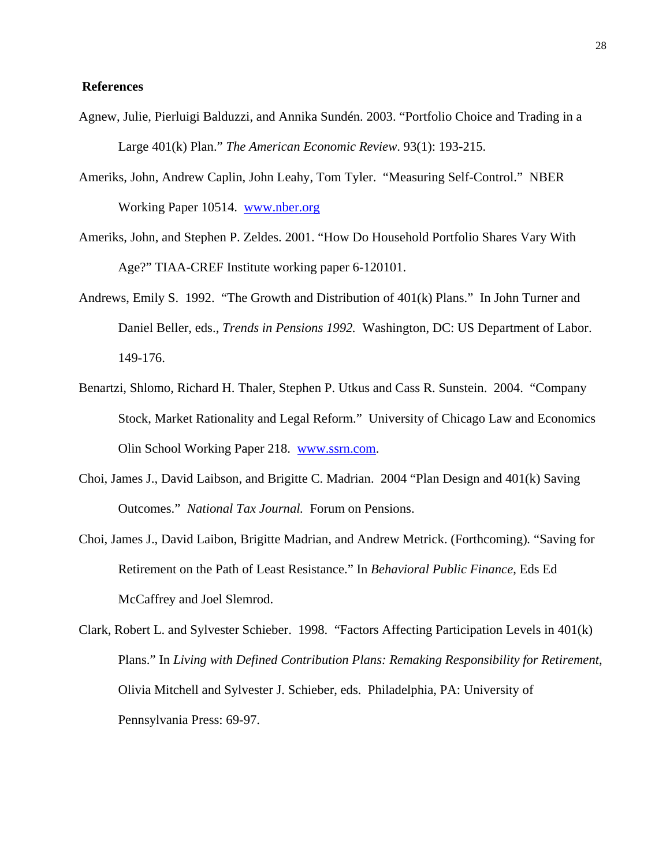#### **References**

- Agnew, Julie, Pierluigi Balduzzi, and Annika Sundén. 2003. "Portfolio Choice and Trading in a Large 401(k) Plan." *The American Economic Review*. 93(1): 193-215.
- Ameriks, John, Andrew Caplin, John Leahy, Tom Tyler. "Measuring Self-Control." NBER Working Paper 10514. www.nber.org
- Ameriks, John, and Stephen P. Zeldes. 2001. "How Do Household Portfolio Shares Vary With Age?" TIAA-CREF Institute working paper 6-120101.
- Andrews, Emily S. 1992. "The Growth and Distribution of 401(k) Plans." In John Turner and Daniel Beller, eds., *Trends in Pensions 1992.* Washington, DC: US Department of Labor. 149-176.
- Benartzi, Shlomo, Richard H. Thaler, Stephen P. Utkus and Cass R. Sunstein. 2004. "Company Stock, Market Rationality and Legal Reform." University of Chicago Law and Economics Olin School Working Paper 218. www.ssrn.com.
- Choi, James J., David Laibson, and Brigitte C. Madrian. 2004 "Plan Design and 401(k) Saving Outcomes." *National Tax Journal.* Forum on Pensions.
- Choi, James J., David Laibon, Brigitte Madrian, and Andrew Metrick. (Forthcoming)*.* "Saving for Retirement on the Path of Least Resistance." In *Behavioral Public Finance*, Eds Ed McCaffrey and Joel Slemrod.
- Clark, Robert L. and Sylvester Schieber. 1998. "Factors Affecting Participation Levels in 401(k) Plans." In *Living with Defined Contribution Plans: Remaking Responsibility for Retirement*, Olivia Mitchell and Sylvester J. Schieber, eds. Philadelphia, PA: University of Pennsylvania Press: 69-97.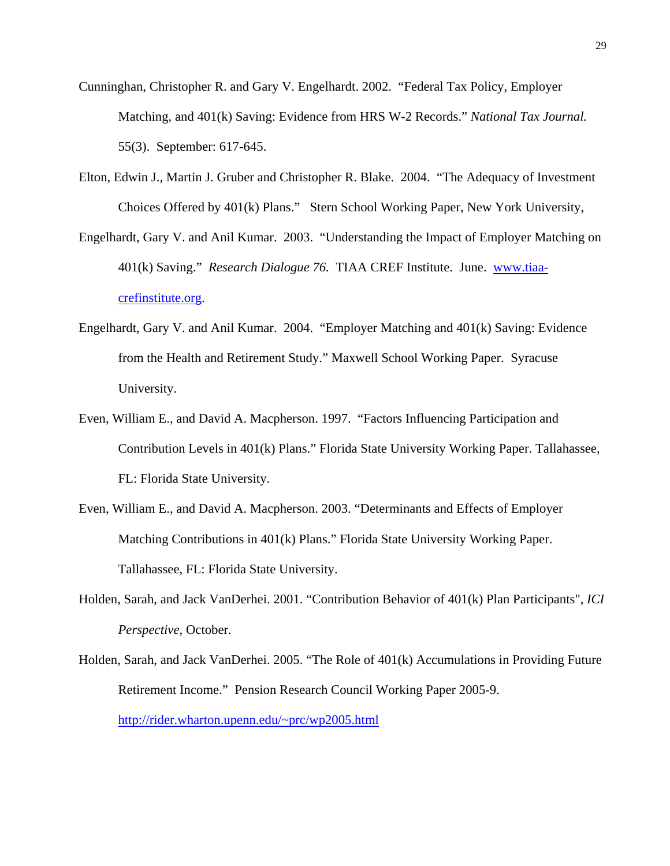- Cunninghan, Christopher R. and Gary V. Engelhardt. 2002. "Federal Tax Policy, Employer Matching, and 401(k) Saving: Evidence from HRS W-2 Records." *National Tax Journal.*  55(3). September: 617-645.
- Elton, Edwin J., Martin J. Gruber and Christopher R. Blake. 2004. "The Adequacy of Investment Choices Offered by 401(k) Plans." Stern School Working Paper, New York University,
- Engelhardt, Gary V. and Anil Kumar. 2003. "Understanding the Impact of Employer Matching on 401(k) Saving." *Research Dialogue 76.* TIAA CREF Institute. June. www.tiaacrefinstitute.org.
- Engelhardt, Gary V. and Anil Kumar. 2004. "Employer Matching and 401(k) Saving: Evidence from the Health and Retirement Study." Maxwell School Working Paper. Syracuse University.
- Even, William E., and David A. Macpherson. 1997. "Factors Influencing Participation and Contribution Levels in 401(k) Plans." Florida State University Working Paper. Tallahassee, FL: Florida State University.
- Even, William E., and David A. Macpherson. 2003. "Determinants and Effects of Employer Matching Contributions in 401(k) Plans." Florida State University Working Paper. Tallahassee, FL: Florida State University.
- Holden, Sarah, and Jack VanDerhei. 2001. "Contribution Behavior of 401(k) Plan Participants", *ICI Perspective*, October.
- Holden, Sarah, and Jack VanDerhei. 2005. "The Role of 401(k) Accumulations in Providing Future Retirement Income." Pension Research Council Working Paper 2005-9. http://rider.wharton.upenn.edu/~prc/wp2005.html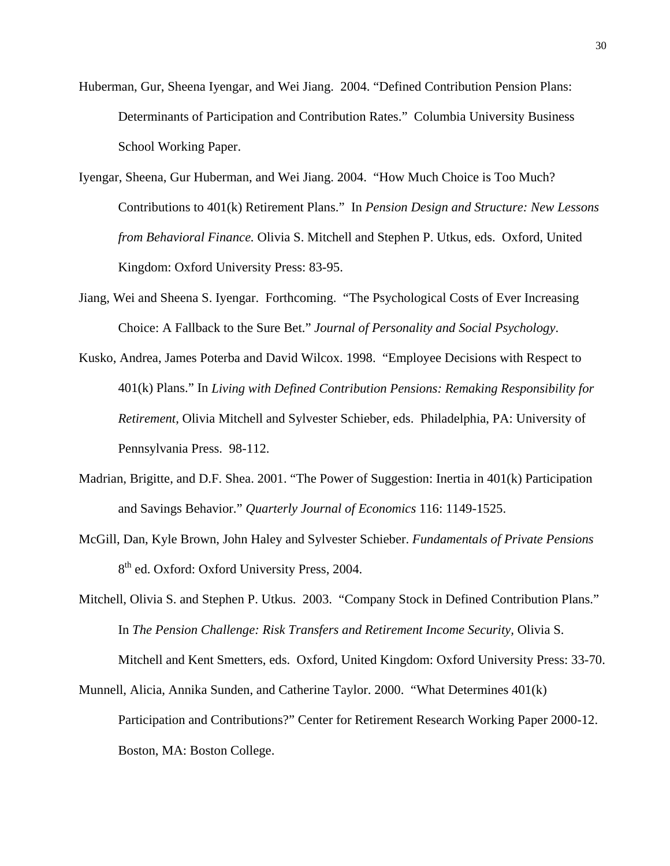- Huberman, Gur, Sheena Iyengar, and Wei Jiang. 2004. "Defined Contribution Pension Plans: Determinants of Participation and Contribution Rates." Columbia University Business School Working Paper.
- Iyengar, Sheena, Gur Huberman, and Wei Jiang. 2004. "How Much Choice is Too Much? Contributions to 401(k) Retirement Plans." In *Pension Design and Structure: New Lessons from Behavioral Finance.* Olivia S. Mitchell and Stephen P. Utkus, eds. Oxford, United Kingdom: Oxford University Press: 83-95.
- Jiang, Wei and Sheena S. Iyengar. Forthcoming. "The Psychological Costs of Ever Increasing Choice: A Fallback to the Sure Bet." *Journal of Personality and Social Psychology*.
- Kusko, Andrea, James Poterba and David Wilcox. 1998. "Employee Decisions with Respect to 401(k) Plans." In *Living with Defined Contribution Pensions: Remaking Responsibility for Retirement*, Olivia Mitchell and Sylvester Schieber, eds. Philadelphia, PA: University of Pennsylvania Press. 98-112.
- Madrian, Brigitte, and D.F. Shea. 2001. "The Power of Suggestion: Inertia in 401(k) Participation and Savings Behavior." *Quarterly Journal of Economics* 116: 1149-1525.
- McGill, Dan, Kyle Brown, John Haley and Sylvester Schieber. *Fundamentals of Private Pensions* 8<sup>th</sup> ed. Oxford: Oxford University Press, 2004.
- Mitchell, Olivia S. and Stephen P. Utkus. 2003. "Company Stock in Defined Contribution Plans." In *The Pension Challenge: Risk Transfers and Retirement Income Security,* Olivia S. Mitchell and Kent Smetters, eds. Oxford, United Kingdom: Oxford University Press: 33-70.
- Munnell, Alicia, Annika Sunden, and Catherine Taylor. 2000. "What Determines 401(k) Participation and Contributions?" Center for Retirement Research Working Paper 2000-12. Boston, MA: Boston College.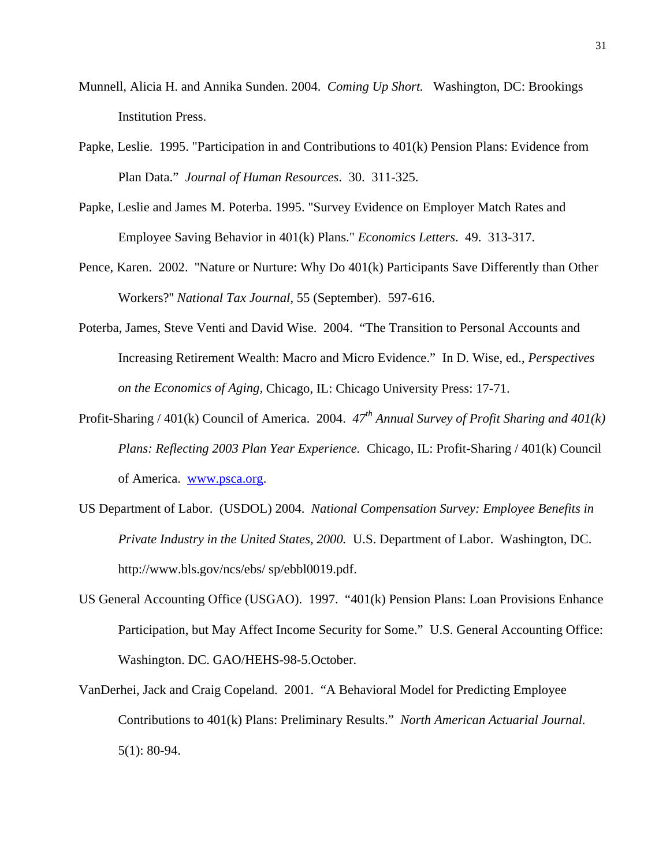- Munnell, Alicia H. and Annika Sunden. 2004. *Coming Up Short.* Washington, DC: Brookings Institution Press.
- Papke, Leslie. 1995. "Participation in and Contributions to 401(k) Pension Plans: Evidence from Plan Data." *Journal of Human Resources*. 30. 311-325.
- Papke, Leslie and James M. Poterba. 1995. "Survey Evidence on Employer Match Rates and Employee Saving Behavior in 401(k) Plans." *Economics Letters*. 49. 313-317.
- Pence, Karen. 2002. ''Nature or Nurture: Why Do 401(k) Participants Save Differently than Other Workers?'' *National Tax Journal,* 55 (September). 597-616.
- Poterba, James, Steve Venti and David Wise. 2004. "The Transition to Personal Accounts and Increasing Retirement Wealth: Macro and Micro Evidence." In D. Wise, ed., *Perspectives on the Economics of Aging,* Chicago, IL: Chicago University Press: 17-71.
- Profit-Sharing / 401(k) Council of America. 2004.  $47<sup>th</sup>$  Annual Survey of Profit Sharing and 401(k) *Plans: Reflecting 2003 Plan Year Experience.* Chicago, IL: Profit-Sharing / 401(k) Council of America. www.psca.org.
- US Department of Labor. (USDOL) 2004. *National Compensation Survey: Employee Benefits in Private Industry in the United States, 2000.* U.S. Department of Labor. Washington, DC. http://www.bls.gov/ncs/ebs/ sp/ebbl0019.pdf.
- US General Accounting Office (USGAO). 1997. "401(k) Pension Plans: Loan Provisions Enhance Participation, but May Affect Income Security for Some." U.S. General Accounting Office: Washington. DC. GAO/HEHS-98-5.October.
- VanDerhei, Jack and Craig Copeland. 2001. "A Behavioral Model for Predicting Employee Contributions to 401(k) Plans: Preliminary Results." *North American Actuarial Journal.*  5(1): 80-94.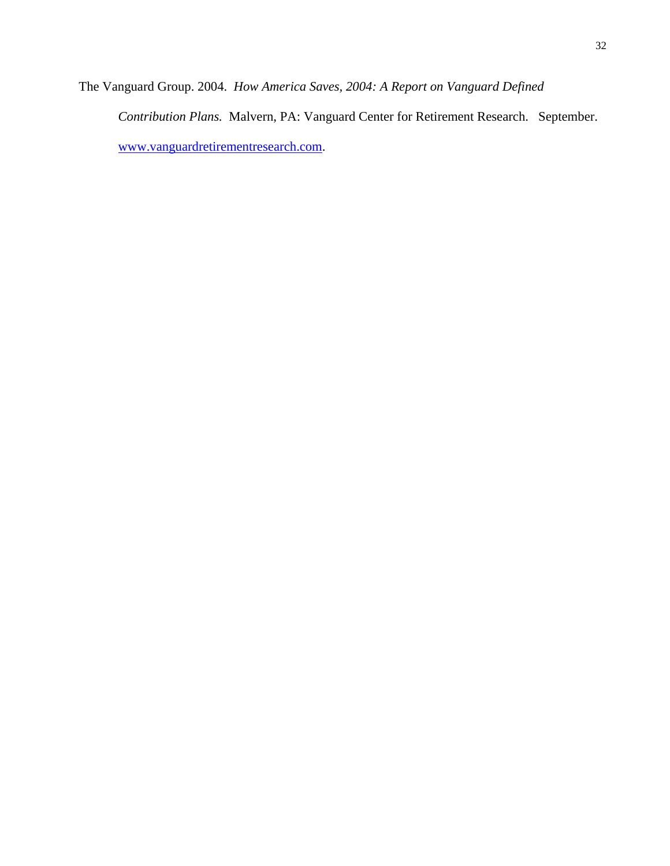The Vanguard Group. 2004. *How America Saves, 2004: A Report on Vanguard Defined Contribution Plans.* Malvern, PA: Vanguard Center for Retirement Research. September. www.vanguardretirementresearch.com.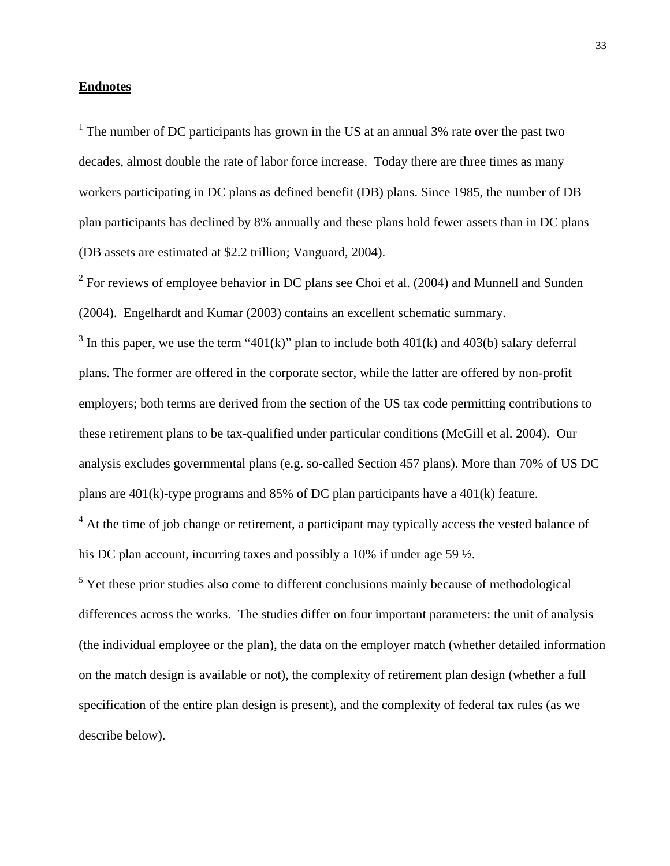#### **Endnotes**

<sup>1</sup> The number of DC participants has grown in the US at an annual 3% rate over the past two decades, almost double the rate of labor force increase. Today there are three times as many workers participating in DC plans as defined benefit (DB) plans. Since 1985, the number of DB plan participants has declined by 8% annually and these plans hold fewer assets than in DC plans (DB assets are estimated at \$2.2 trillion; Vanguard, 2004).

 $2^2$  For reviews of employee behavior in DC plans see Choi et al. (2004) and Munnell and Sunden (2004). Engelhardt and Kumar (2003) contains an excellent schematic summary.

<sup>3</sup> In this paper, we use the term "401(k)" plan to include both 401(k) and 403(b) salary deferral plans. The former are offered in the corporate sector, while the latter are offered by non-profit employers; both terms are derived from the section of the US tax code permitting contributions to these retirement plans to be tax-qualified under particular conditions (McGill et al. 2004). Our analysis excludes governmental plans (e.g. so-called Section 457 plans). More than 70% of US DC plans are 401(k)-type programs and 85% of DC plan participants have a 401(k) feature.

<sup>4</sup> At the time of job change or retirement, a participant may typically access the vested balance of his DC plan account, incurring taxes and possibly a 10% if under age 59 ½.

 $<sup>5</sup>$  Yet these prior studies also come to different conclusions mainly because of methodological</sup> differences across the works. The studies differ on four important parameters: the unit of analysis (the individual employee or the plan), the data on the employer match (whether detailed information on the match design is available or not), the complexity of retirement plan design (whether a full specification of the entire plan design is present), and the complexity of federal tax rules (as we describe below).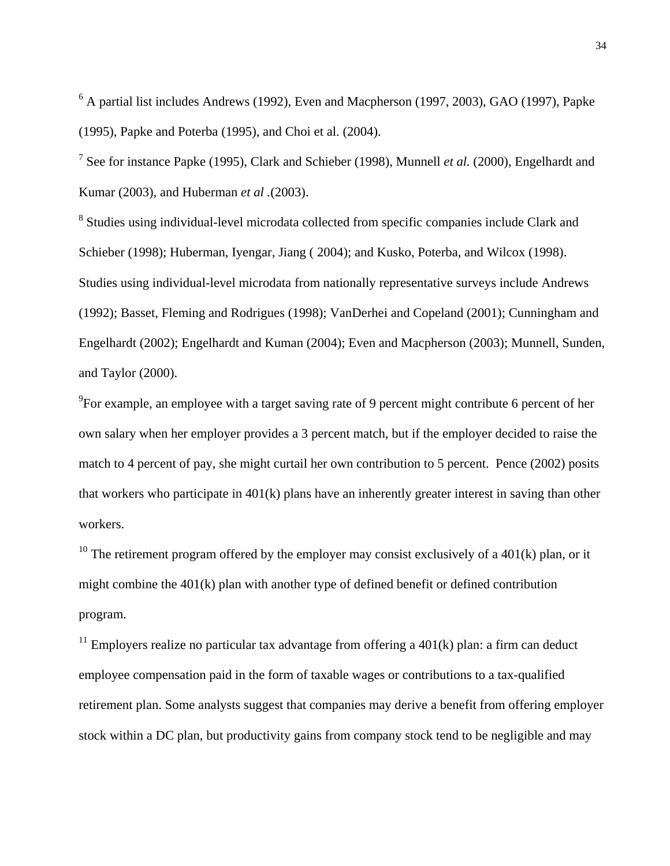<sup>6</sup> A partial list includes Andrews (1992), Even and Macpherson (1997, 2003), GAO (1997), Papke (1995), Papke and Poterba (1995), and Choi et al. (2004).

7 See for instance Papke (1995), Clark and Schieber (1998), Munnell *et al.* (2000), Engelhardt and Kumar (2003), and Huberman *et al .*(2003).

<sup>8</sup> Studies using individual-level microdata collected from specific companies include Clark and Schieber (1998); Huberman, Iyengar, Jiang ( 2004); and Kusko, Poterba, and Wilcox (1998). Studies using individual-level microdata from nationally representative surveys include Andrews (1992); Basset, Fleming and Rodrigues (1998); VanDerhei and Copeland (2001); Cunningham and Engelhardt (2002); Engelhardt and Kuman (2004); Even and Macpherson (2003); Munnell, Sunden, and Taylor (2000).

 $9^9$ For example, an employee with a target saving rate of 9 percent might contribute 6 percent of her own salary when her employer provides a 3 percent match, but if the employer decided to raise the match to 4 percent of pay, she might curtail her own contribution to 5 percent. Pence (2002) posits that workers who participate in 401(k) plans have an inherently greater interest in saving than other workers.

<sup>10</sup> The retirement program offered by the employer may consist exclusively of a 401(k) plan, or it might combine the 401(k) plan with another type of defined benefit or defined contribution program.

<sup>11</sup> Employers realize no particular tax advantage from offering a 401(k) plan: a firm can deduct employee compensation paid in the form of taxable wages or contributions to a tax-qualified retirement plan. Some analysts suggest that companies may derive a benefit from offering employer stock within a DC plan, but productivity gains from company stock tend to be negligible and may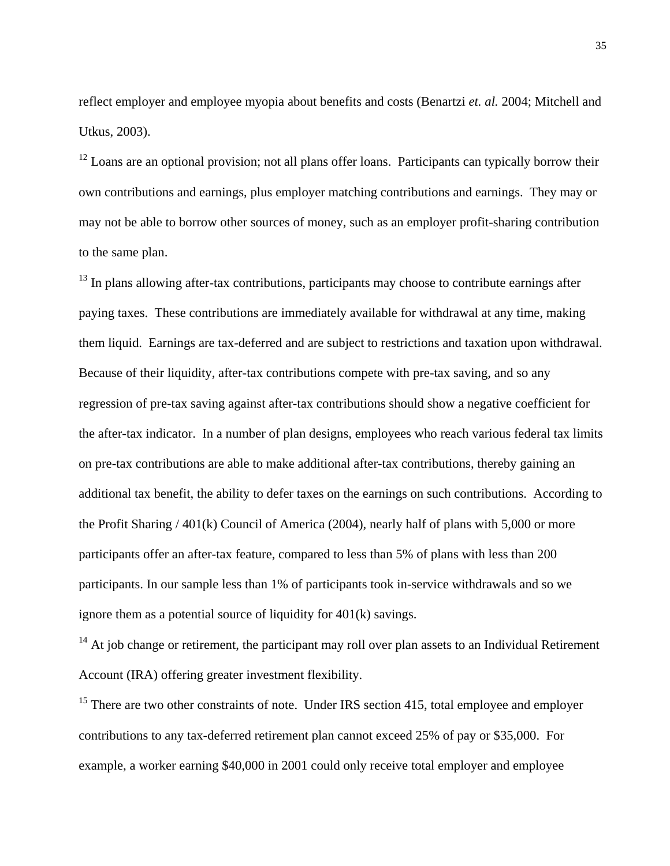reflect employer and employee myopia about benefits and costs (Benartzi *et. al.* 2004; Mitchell and Utkus, 2003).

 $12$  Loans are an optional provision; not all plans offer loans. Participants can typically borrow their own contributions and earnings, plus employer matching contributions and earnings. They may or may not be able to borrow other sources of money, such as an employer profit-sharing contribution to the same plan.

 $13$  In plans allowing after-tax contributions, participants may choose to contribute earnings after paying taxes. These contributions are immediately available for withdrawal at any time, making them liquid. Earnings are tax-deferred and are subject to restrictions and taxation upon withdrawal. Because of their liquidity, after-tax contributions compete with pre-tax saving, and so any regression of pre-tax saving against after-tax contributions should show a negative coefficient for the after-tax indicator. In a number of plan designs, employees who reach various federal tax limits on pre-tax contributions are able to make additional after-tax contributions, thereby gaining an additional tax benefit, the ability to defer taxes on the earnings on such contributions. According to the Profit Sharing / 401(k) Council of America (2004), nearly half of plans with 5,000 or more participants offer an after-tax feature, compared to less than 5% of plans with less than 200 participants. In our sample less than 1% of participants took in-service withdrawals and so we ignore them as a potential source of liquidity for 401(k) savings.

 $14$  At job change or retirement, the participant may roll over plan assets to an Individual Retirement Account (IRA) offering greater investment flexibility.

 $15$  There are two other constraints of note. Under IRS section 415, total employee and employer contributions to any tax-deferred retirement plan cannot exceed 25% of pay or \$35,000. For example, a worker earning \$40,000 in 2001 could only receive total employer and employee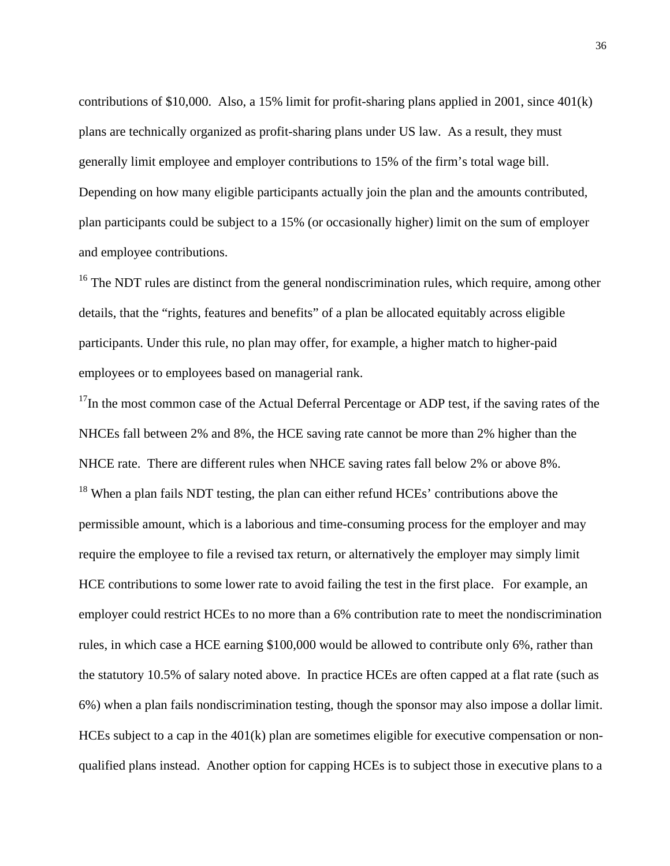contributions of \$10,000. Also, a 15% limit for profit-sharing plans applied in 2001, since 401(k) plans are technically organized as profit-sharing plans under US law. As a result, they must generally limit employee and employer contributions to 15% of the firm's total wage bill. Depending on how many eligible participants actually join the plan and the amounts contributed, plan participants could be subject to a 15% (or occasionally higher) limit on the sum of employer and employee contributions.

<sup>16</sup> The NDT rules are distinct from the general nondiscrimination rules, which require, among other details, that the "rights, features and benefits" of a plan be allocated equitably across eligible participants. Under this rule, no plan may offer, for example, a higher match to higher-paid employees or to employees based on managerial rank.

 $17$ In the most common case of the Actual Deferral Percentage or ADP test, if the saving rates of the NHCEs fall between 2% and 8%, the HCE saving rate cannot be more than 2% higher than the NHCE rate. There are different rules when NHCE saving rates fall below 2% or above 8%.  $18$  When a plan fails NDT testing, the plan can either refund HCEs' contributions above the permissible amount, which is a laborious and time-consuming process for the employer and may require the employee to file a revised tax return, or alternatively the employer may simply limit HCE contributions to some lower rate to avoid failing the test in the first place. For example, an employer could restrict HCEs to no more than a 6% contribution rate to meet the nondiscrimination rules, in which case a HCE earning \$100,000 would be allowed to contribute only 6%, rather than the statutory 10.5% of salary noted above. In practice HCEs are often capped at a flat rate (such as 6%) when a plan fails nondiscrimination testing, though the sponsor may also impose a dollar limit. HCEs subject to a cap in the 401(k) plan are sometimes eligible for executive compensation or nonqualified plans instead. Another option for capping HCEs is to subject those in executive plans to a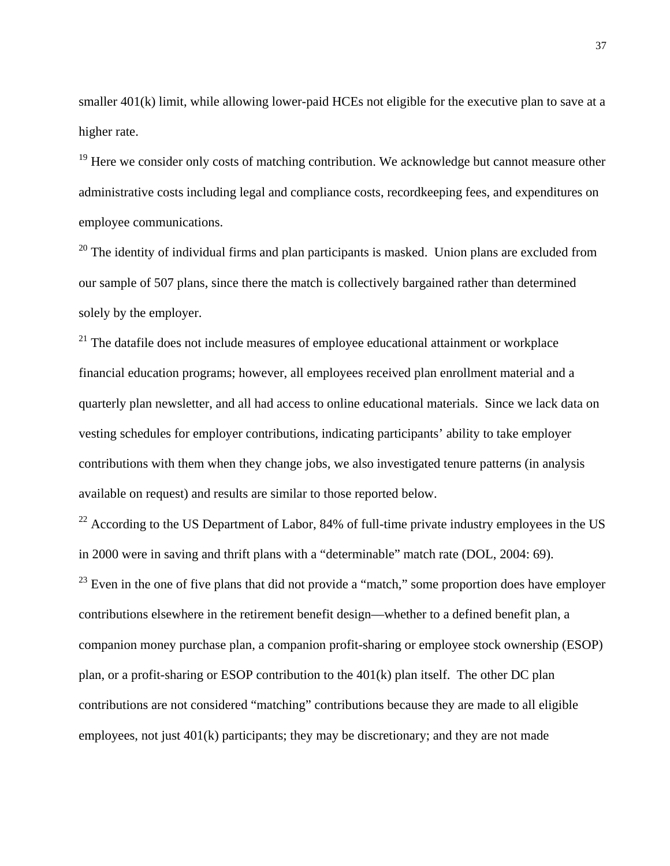smaller 401(k) limit, while allowing lower-paid HCEs not eligible for the executive plan to save at a higher rate.

<sup>19</sup> Here we consider only costs of matching contribution. We acknowledge but cannot measure other administrative costs including legal and compliance costs, recordkeeping fees, and expenditures on employee communications.

 $20$  The identity of individual firms and plan participants is masked. Union plans are excluded from our sample of 507 plans, since there the match is collectively bargained rather than determined solely by the employer.

 $21$  The datafile does not include measures of employee educational attainment or workplace financial education programs; however, all employees received plan enrollment material and a quarterly plan newsletter, and all had access to online educational materials. Since we lack data on vesting schedules for employer contributions, indicating participants' ability to take employer contributions with them when they change jobs, we also investigated tenure patterns (in analysis available on request) and results are similar to those reported below.

 $^{22}$  According to the US Department of Labor, 84% of full-time private industry employees in the US in 2000 were in saving and thrift plans with a "determinable" match rate (DOL, 2004: 69).  $23$  Even in the one of five plans that did not provide a "match," some proportion does have employer contributions elsewhere in the retirement benefit design—whether to a defined benefit plan, a companion money purchase plan, a companion profit-sharing or employee stock ownership (ESOP) plan, or a profit-sharing or ESOP contribution to the 401(k) plan itself. The other DC plan contributions are not considered "matching" contributions because they are made to all eligible employees, not just 401(k) participants; they may be discretionary; and they are not made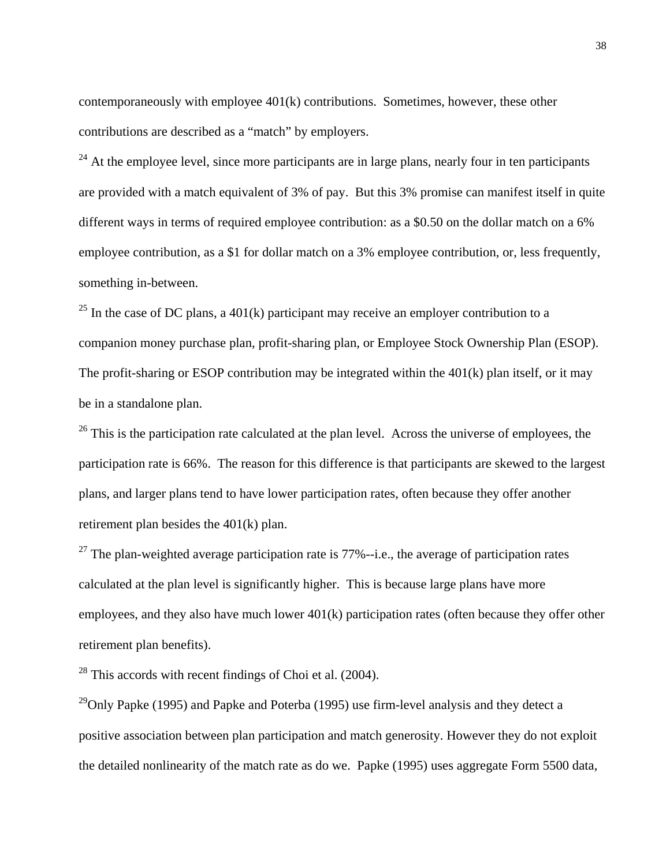contemporaneously with employee 401(k) contributions. Sometimes, however, these other contributions are described as a "match" by employers.

 $24$  At the employee level, since more participants are in large plans, nearly four in ten participants are provided with a match equivalent of 3% of pay. But this 3% promise can manifest itself in quite different ways in terms of required employee contribution: as a \$0.50 on the dollar match on a 6% employee contribution, as a \$1 for dollar match on a 3% employee contribution, or, less frequently, something in-between.

 $25$  In the case of DC plans, a 401(k) participant may receive an employer contribution to a companion money purchase plan, profit-sharing plan, or Employee Stock Ownership Plan (ESOP). The profit-sharing or ESOP contribution may be integrated within the 401(k) plan itself, or it may be in a standalone plan.

<sup>26</sup> This is the participation rate calculated at the plan level. Across the universe of employees, the participation rate is 66%. The reason for this difference is that participants are skewed to the largest plans, and larger plans tend to have lower participation rates, often because they offer another retirement plan besides the 401(k) plan.

 $^{27}$  The plan-weighted average participation rate is 77%--i.e., the average of participation rates calculated at the plan level is significantly higher. This is because large plans have more employees, and they also have much lower 401(k) participation rates (often because they offer other retirement plan benefits).

28 This accords with recent findings of Choi et al. (2004).

<sup>29</sup>Only Papke (1995) and Papke and Poterba (1995) use firm-level analysis and they detect a positive association between plan participation and match generosity. However they do not exploit the detailed nonlinearity of the match rate as do we. Papke (1995) uses aggregate Form 5500 data,